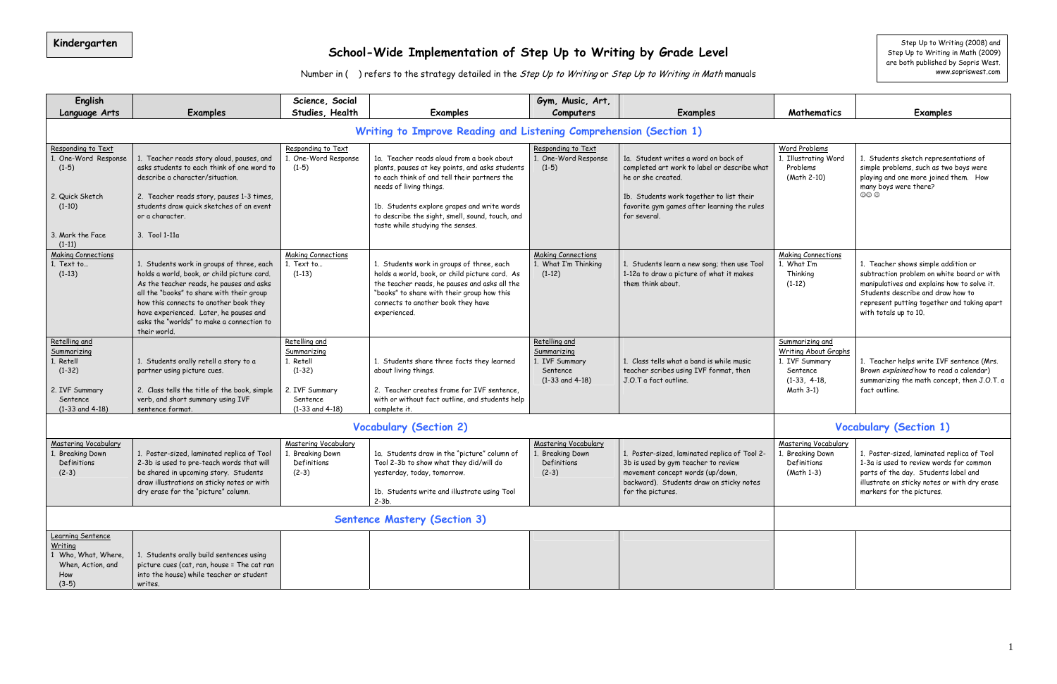#### **School-Wide Implementation of Step Up to Writing by Grade Level Kindergarten |** Step Up to Writing (2008) and

Number in ( ) refers to the strategy detailed in the Step Up to Writing or Step Up to Writing in Math manuals

Step Up to Writing (2008) and<br>Step Up to Writing in Math (2009) are both published by Sopris West. www.sopriswest.com

| English                                                                                                 |                                                                                                                                                                                                                                                                                                                                    | Science, Social                                                                                            |                                                                                                                                                                                                                                                                           | Gym, Music, Art,                                                                  |                                                                                                                                                                                                                      |                                                                                                      |                                                                                                                                                                                                                                               |
|---------------------------------------------------------------------------------------------------------|------------------------------------------------------------------------------------------------------------------------------------------------------------------------------------------------------------------------------------------------------------------------------------------------------------------------------------|------------------------------------------------------------------------------------------------------------|---------------------------------------------------------------------------------------------------------------------------------------------------------------------------------------------------------------------------------------------------------------------------|-----------------------------------------------------------------------------------|----------------------------------------------------------------------------------------------------------------------------------------------------------------------------------------------------------------------|------------------------------------------------------------------------------------------------------|-----------------------------------------------------------------------------------------------------------------------------------------------------------------------------------------------------------------------------------------------|
| Language Arts                                                                                           | <b>Examples</b>                                                                                                                                                                                                                                                                                                                    | Studies, Health                                                                                            | <b>Examples</b>                                                                                                                                                                                                                                                           | Computers                                                                         | <b>Examples</b>                                                                                                                                                                                                      | Mathematics                                                                                          | <b>Examples</b>                                                                                                                                                                                                                               |
|                                                                                                         |                                                                                                                                                                                                                                                                                                                                    |                                                                                                            | Writing to Improve Reading and Listening Comprehension (Section 1)                                                                                                                                                                                                        |                                                                                   |                                                                                                                                                                                                                      |                                                                                                      |                                                                                                                                                                                                                                               |
| Responding to Text<br>One-Word Response<br>$(1-5)$<br>2. Quick Sketch<br>$(1-10)$                       | 1. Teacher reads story aloud, pauses, and<br>asks students to each think of one word to<br>describe a character/situation.<br>2. Teacher reads story, pauses 1-3 times,<br>students draw quick sketches of an event<br>or a character.                                                                                             | Responding to Text<br>1. One-Word Response<br>$(1-5)$                                                      | 1a. Teacher reads aloud from a book about<br>plants, pauses at key points, and asks students<br>to each think of and tell their partners the<br>needs of living things.<br>1b. Students explore grapes and write words<br>to describe the sight, smell, sound, touch, and | Responding to Text<br>1. One-Word Response<br>$(1-5)$                             | 1a. Student writes a word on back of<br>completed art work to label or describe what<br>he or she created.<br>1b. Students work together to list their<br>favorite gym games after learning the rules<br>for several | Word Problems<br>1. Illustrating Word<br>Problems<br>(Math 2-10)                                     | 1. Students sketch representations of<br>simple problems, such as two boys were<br>playing and one more joined them. How<br>many boys were there?<br>$\circledcirc \circ$                                                                     |
| 3. Mark the Face<br>$(1-11)$                                                                            | 3. Tool 1-11a                                                                                                                                                                                                                                                                                                                      |                                                                                                            | taste while studying the senses.                                                                                                                                                                                                                                          |                                                                                   |                                                                                                                                                                                                                      |                                                                                                      |                                                                                                                                                                                                                                               |
| <b>Making Connections</b><br>1. Text to<br>$(1-13)$                                                     | 1. Students work in groups of three, each<br>holds a world, book, or child picture card.<br>As the teacher reads, he pauses and asks<br>all the "books" to share with their group<br>how this connects to another book they<br>have experienced. Later, he pauses and<br>asks the "worlds" to make a connection to<br>their world. | <b>Making Connections</b><br>1. Text to<br>$(1-13)$                                                        | 1. Students work in groups of three, each<br>holds a world, book, or child picture card. As<br>the teacher reads, he pauses and asks all the<br>"books" to share with their group how this<br>connects to another book they have<br>experienced.                          | <b>Making Connections</b><br>1. What I'm Thinking<br>$(1-12)$                     | 1. Students learn a new song; then use Tool<br>1-12a to draw a picture of what it makes<br>them think about.                                                                                                         | <b>Making Connections</b><br>1. What I'm<br>Thinking<br>$(1-12)$                                     | 1. Teacher shows simple addition or<br>subtraction problem on white board or with<br>manipulatives and explains how to solve it.<br>Students describe and draw how to<br>represent putting together and taking apart<br>with totals up to 10. |
| Retelling and<br>Summarizing<br>Retell<br>$(1-32)$<br>2. IVF Summary<br>Sentence<br>$(1-33$ and $4-18)$ | 1. Students orally retell a story to a<br>partner using picture cues.<br>2. Class tells the title of the book, simple<br>verb, and short summary using IVF<br>sentence format.                                                                                                                                                     | Retelling and<br>Summarizing<br>1. Retell<br>$(1-32)$<br>2. IVF Summary<br>Sentence<br>$(1-33$ and $4-18)$ | 1. Students share three facts they learned<br>about living things.<br>2. Teacher creates frame for IVF sentence,<br>with or without fact outline, and students help<br>complete it.                                                                                       | Retelling and<br>Summarizing<br>1. IVF Summary<br>Sentence<br>$(1-33$ and $4-18)$ | 1. Class tells what a band is while music<br>teacher scribes using IVF format, then<br>J.O.T a fact outline.                                                                                                         | Summarizing and<br>Writing About Graphs<br>1. IVF Summary<br>Sentence<br>$(1-33, 4-18,$<br>Math 3-1) | 1. Teacher helps write IVF sentence (Mrs.<br>Brown explained how to read a calendar)<br>summarizing the math concept, then J.O.T. a<br>fact outline.                                                                                          |
|                                                                                                         |                                                                                                                                                                                                                                                                                                                                    |                                                                                                            | <b>Vocabulary (Section 2)</b>                                                                                                                                                                                                                                             |                                                                                   |                                                                                                                                                                                                                      |                                                                                                      | <b>Vocabulary (Section 1)</b>                                                                                                                                                                                                                 |
| <b>Mastering Vocabulary</b><br><b>Breaking Down</b><br>Definitions<br>$(2-3)$                           | 1. Poster-sized, laminated replica of Tool<br>2-3b is used to pre-teach words that will<br>be shared in upcoming story. Students<br>draw illustrations on sticky notes or with<br>dry erase for the "picture" column.                                                                                                              | Mastering Vocabulary<br>1. Breaking Down<br>Definitions<br>$(2-3)$                                         | 1a. Students draw in the "picture" column of<br>Tool 2-3b to show what they did/will do<br>yesterday, today, tomorrow.<br>1b. Students write and illustrate using Tool<br>$2-3b.$                                                                                         | <b>Mastering Vocabulary</b><br>. Breaking Down<br>Definitions<br>$(2-3)$          | 1. Poster-sized, laminated replica of Tool 2-<br>3b is used by gym teacher to review<br>movement concept words (up/down,<br>backward). Students draw on sticky notes<br>for the pictures.                            | <b>Mastering Vocabulary</b><br>1. Breaking Down<br>Definitions<br>(Math 1-3)                         | 1. Poster-sized, laminated replica of Tool<br>1-3a is used to review words for common<br>parts of the day. Students label and<br>illustrate on sticky notes or with dry erase<br>markers for the pictures.                                    |
| <b>Sentence Mastery (Section 3)</b>                                                                     |                                                                                                                                                                                                                                                                                                                                    |                                                                                                            |                                                                                                                                                                                                                                                                           |                                                                                   |                                                                                                                                                                                                                      |                                                                                                      |                                                                                                                                                                                                                                               |
| Learning Sentence<br>Writing<br>Who, What, Where,<br>When, Action, and<br>How<br>$(3-5)$                | 1. Students orally build sentences using<br>picture cues (cat, ran, house = The cat ran<br>into the house) while teacher or student<br>writes.                                                                                                                                                                                     |                                                                                                            |                                                                                                                                                                                                                                                                           |                                                                                   |                                                                                                                                                                                                                      |                                                                                                      |                                                                                                                                                                                                                                               |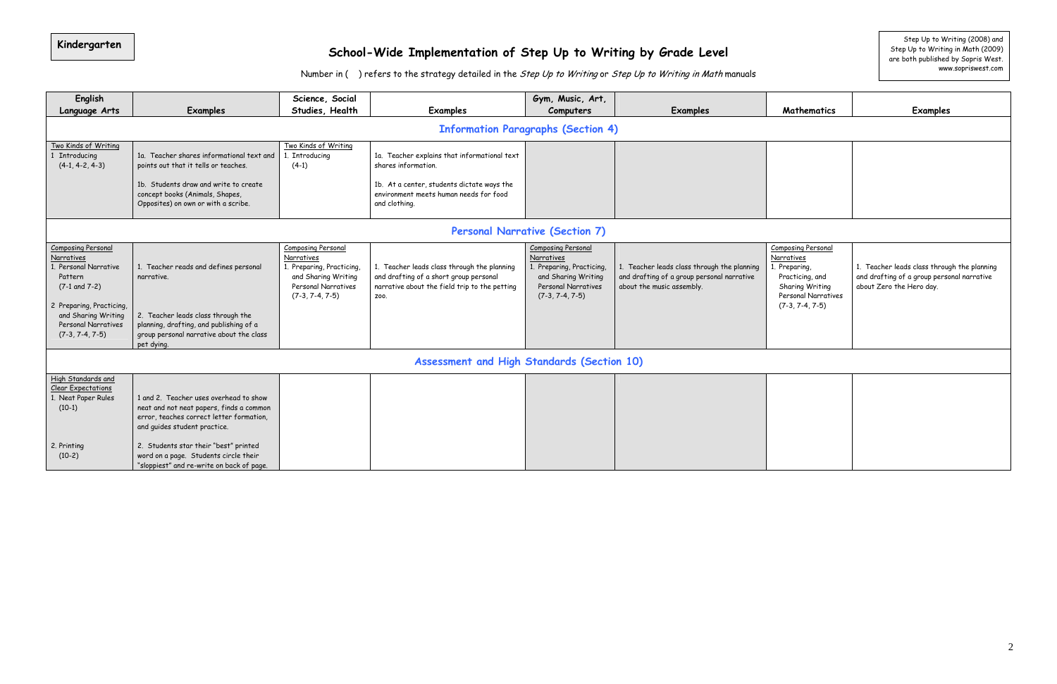# Kindergarten Step Up to Writing (2008) and Step Up to **School-Wide Implementation of Step Up to Writing by Grade Level** Step Up to Writing in Math (2009) and Step Up to Writing in Math (2009)

Number in ( ) refers to the strategy detailed in the Step Up to Writing or Step Up to Writing in Math manuals

| English<br>Language Arts                                                                                                                                                                                                                                                                                                | Examples                                                                                                                                                                                       | Science, Social<br>Studies, Health                                                                                                                                           | Examples                                                                                                                                       | Gym, Music, Art,<br>Computers                                                                                                           | Examples                                                                                                               | Mathematics                                                                                                                                | <b>Examples</b>                                                                              |
|-------------------------------------------------------------------------------------------------------------------------------------------------------------------------------------------------------------------------------------------------------------------------------------------------------------------------|------------------------------------------------------------------------------------------------------------------------------------------------------------------------------------------------|------------------------------------------------------------------------------------------------------------------------------------------------------------------------------|------------------------------------------------------------------------------------------------------------------------------------------------|-----------------------------------------------------------------------------------------------------------------------------------------|------------------------------------------------------------------------------------------------------------------------|--------------------------------------------------------------------------------------------------------------------------------------------|----------------------------------------------------------------------------------------------|
|                                                                                                                                                                                                                                                                                                                         |                                                                                                                                                                                                |                                                                                                                                                                              |                                                                                                                                                | <b>Information Paragraphs (Section 4)</b>                                                                                               |                                                                                                                        |                                                                                                                                            |                                                                                              |
| Two Kinds of Writing<br>Two Kinds of Writing<br>1a. Teacher shares informational text and<br>1. Introducing<br>1 Introducing<br>$(4-1, 4-2, 4-3)$<br>$(4-1)$<br>points out that it tells or teaches.<br>1b. Students draw and write to create<br>concept books (Animals, Shapes,<br>Opposites) on own or with a scribe. |                                                                                                                                                                                                | 1a. Teacher explains that informational text<br>shares information.<br>1b. At a center, students dictate ways the<br>environment meets human needs for food<br>and clothing. |                                                                                                                                                |                                                                                                                                         |                                                                                                                        |                                                                                                                                            |                                                                                              |
|                                                                                                                                                                                                                                                                                                                         |                                                                                                                                                                                                |                                                                                                                                                                              |                                                                                                                                                | <b>Personal Narrative (Section 7)</b>                                                                                                   |                                                                                                                        |                                                                                                                                            |                                                                                              |
| <b>Composing Personal</b><br>Narratives<br>1. Personal Narrative<br>Pattern<br>$(7-1$ and $7-2)$<br>2 Preparing, Practicing,<br>and Sharing Writing<br>Personal Narratives<br>$(7-3, 7-4, 7-5)$                                                                                                                         | 1. Teacher reads and defines personal<br>narrative.<br>2. Teacher leads class through the<br>planning, drafting, and publishing of a<br>group personal narrative about the class<br>pet dying. | Composing Personal<br>Narratives<br>1. Preparing, Practicing,<br>and Sharing Writing<br>Personal Narratives<br>$(7-3, 7-4, 7-5)$                                             | 1. Teacher leads class through the planning<br>and drafting of a short group personal<br>narrative about the field trip to the petting<br>Z00. | <b>Composing Personal</b><br>Narratives<br>1. Preparing, Practicing,<br>and Sharing Writing<br>Personal Narratives<br>$(7-3, 7-4, 7-5)$ | 1. Teacher leads class through the planning<br>and drafting of a group personal narrative<br>about the music assembly. | <b>Composing Personal</b><br>Narratives<br>1. Preparing,<br>Practicing, and<br>Sharing Writing<br>Personal Narratives<br>$(7-3, 7-4, 7-5)$ | 1. Teacher leads class through<br>and drafting of a group persor<br>about Zero the Hero day. |
|                                                                                                                                                                                                                                                                                                                         |                                                                                                                                                                                                |                                                                                                                                                                              | Assessment and High Standards (Section 10)                                                                                                     |                                                                                                                                         |                                                                                                                        |                                                                                                                                            |                                                                                              |
| High Standards and<br><b>Clear Expectations</b><br>1. Neat Paper Rules<br>$(10-1)$                                                                                                                                                                                                                                      | 1 and 2. Teacher uses overhead to show<br>neat and not neat papers, finds a common<br>error, teaches correct letter formation,<br>and guides student practice.                                 |                                                                                                                                                                              |                                                                                                                                                |                                                                                                                                         |                                                                                                                        |                                                                                                                                            |                                                                                              |
| 2. Printing<br>$(10-2)$                                                                                                                                                                                                                                                                                                 | 2. Students star their "best" printed<br>word on a page. Students circle their<br>"sloppiest" and re-write on back of page.                                                                    |                                                                                                                                                                              |                                                                                                                                                |                                                                                                                                         |                                                                                                                        |                                                                                                                                            |                                                                                              |

| <b>Mathematics</b>                                                                                            | <b>Examples</b>                                                                                                       |
|---------------------------------------------------------------------------------------------------------------|-----------------------------------------------------------------------------------------------------------------------|
|                                                                                                               |                                                                                                                       |
|                                                                                                               |                                                                                                                       |
|                                                                                                               |                                                                                                                       |
|                                                                                                               |                                                                                                                       |
|                                                                                                               |                                                                                                                       |
| <b>Composing Personal</b>                                                                                     |                                                                                                                       |
| Narratives<br>1. Preparing,<br>Practicing, and<br>Sharing Writing<br>Personal Narratives<br>$(7-3, 7-4, 7-5)$ | 1. Teacher leads class through the planning<br>and drafting of a group personal narrative<br>about Zero the Hero day. |
|                                                                                                               |                                                                                                                       |
|                                                                                                               |                                                                                                                       |

are both published by Sopris West. www.sopriswest.com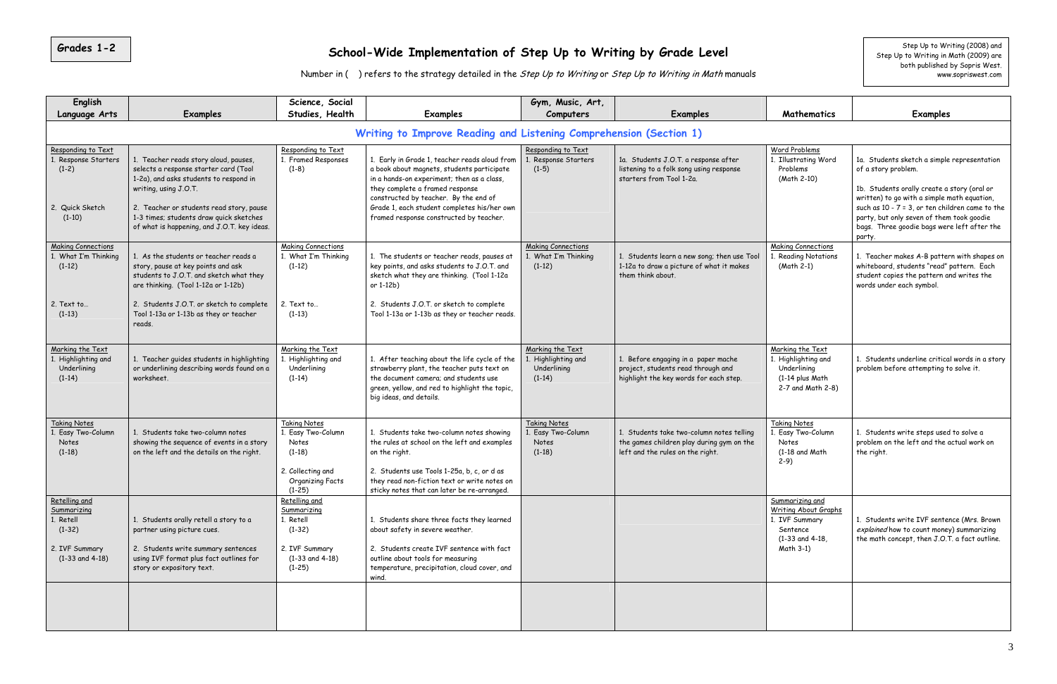### Grades 1-2 School-Wide Implementation of Step Up to Writing by Grade Level step Up to Mitting (2008) and Step Up to Writing (2008) and

Number in ( ) refers to the strategy detailed in the Step Up to Writing or Step Up to Writing in Math manuals

| English                                                                                        |                                                                                                                                                                                                                                                                                         | Science, Social                                                                                                            |                                                                                                                                                                                                                                                                                                                 | Gym, Music, Art,                                                   |                                                                                                                            |                                                                                                                   |                                                                                                                                                                                                                                                                                                                              |
|------------------------------------------------------------------------------------------------|-----------------------------------------------------------------------------------------------------------------------------------------------------------------------------------------------------------------------------------------------------------------------------------------|----------------------------------------------------------------------------------------------------------------------------|-----------------------------------------------------------------------------------------------------------------------------------------------------------------------------------------------------------------------------------------------------------------------------------------------------------------|--------------------------------------------------------------------|----------------------------------------------------------------------------------------------------------------------------|-------------------------------------------------------------------------------------------------------------------|------------------------------------------------------------------------------------------------------------------------------------------------------------------------------------------------------------------------------------------------------------------------------------------------------------------------------|
| Language Arts                                                                                  | <b>Examples</b>                                                                                                                                                                                                                                                                         | Studies, Health                                                                                                            | <b>Examples</b>                                                                                                                                                                                                                                                                                                 | Computers                                                          | <b>Examples</b>                                                                                                            | Mathematics                                                                                                       | <b>Examples</b>                                                                                                                                                                                                                                                                                                              |
|                                                                                                |                                                                                                                                                                                                                                                                                         |                                                                                                                            | Writing to Improve Reading and Listening Comprehension (Section 1)                                                                                                                                                                                                                                              |                                                                    |                                                                                                                            |                                                                                                                   |                                                                                                                                                                                                                                                                                                                              |
| Responding to Text<br>. Response Starters<br>$(1-2)$<br>Quick Sketch<br>2.<br>$(1-10)$         | 1. Teacher reads story aloud, pauses,<br>selects a response starter card (Tool<br>1-2a), and asks students to respond in<br>writing, using J.O.T.<br>2. Teacher or students read story, pause<br>1-3 times; students draw quick sketches<br>of what is happening, and J.O.T. key ideas. | Responding to Text<br>1. Framed Responses<br>$(1-8)$                                                                       | 1. Early in Grade 1, teacher reads aloud from<br>a book about magnets, students participate<br>in a hands-on experiment; then as a class,<br>they complete a framed response<br>constructed by teacher. By the end of<br>Grade 1, each student completes his/her own<br>framed response constructed by teacher. | Responding to Text<br>1. Response Starters<br>$(1-5)$              | 1a. Students J.O.T. a response after<br>listening to a folk song using response<br>starters from Tool 1-2a.                | Word Problems<br>. Illustrating Word<br>Problems<br>(Math 2-10)                                                   | 1a. Students sketch a simple representation<br>of a story problem.<br>1b. Students orally create a story (oral or<br>written) to go with a simple math equation,<br>such as $10 - 7 = 3$ , or ten children came to the<br>party, but only seven of them took goodie<br>bags. Three goodie bags were left after the<br>party. |
| <b>Making Connections</b><br>1. What I'm Thinking<br>$(1-12)$<br>2. Text to<br>$(1-13)$        | 1. As the students or teacher reads a<br>story, pause at key points and ask<br>students to J.O.T. and sketch what they<br>are thinking. (Tool 1-12a or 1-12b)<br>2. Students J.O.T. or sketch to complete<br>Tool 1-13a or 1-13b as they or teacher                                     | <b>Making Connections</b><br>1. What I'm Thinking<br>$(1-12)$<br>2. Text to<br>$(1-13)$                                    | 1. The students or teacher reads, pauses at<br>key points, and asks students to J.O.T. and<br>sketch what they are thinking. (Tool 1-12a<br>or 1-12b)<br>2. Students J.O.T. or sketch to complete<br>Tool 1-13a or 1-13b as they or teacher reads.                                                              | <b>Making Connections</b><br>1. What I'm Thinking<br>$(1-12)$      | 1. Students learn a new song; then use Tool<br>1-12a to draw a picture of what it makes<br>them think about.               | <b>Making Connections</b><br>Reading Notations<br>(Math 2-1)                                                      | 1. Teacher makes A-B pattern with shapes on<br>whiteboard, students "read" pattern. Each<br>student copies the pattern and writes the<br>words under each symbol.                                                                                                                                                            |
| Marking the Text<br>1. Highlighting and<br>Underlining<br>$(1-14)$                             | reads.<br>1. Teacher guides students in highlighting<br>or underlining describing words found on a<br>worksheet.                                                                                                                                                                        | Marking the Text<br>Highlighting and<br>Underlining<br>$(1-14)$                                                            | 1. After teaching about the life cycle of the<br>strawberry plant, the teacher puts text on<br>the document camera; and students use<br>green, yellow, and red to highlight the topic,<br>big ideas, and details.                                                                                               | Marking the Text<br>1. Highlighting and<br>Underlining<br>$(1-14)$ | 1. Before engaging in a paper mache<br>project, students read through and<br>highlight the key words for each step.        | Marking the Text<br>. Highlighting and<br>Underlining<br>(1-14 plus Math<br>2-7 and Math 2-8)                     | 1. Students underline critical words in a story<br>problem before attempting to solve it.                                                                                                                                                                                                                                    |
| <b>Taking Notes</b><br>1. Easy Two-Column<br>Notes<br>$(1-18)$                                 | 1. Students take two-column notes<br>showing the sequence of events in a story<br>on the left and the details on the right.                                                                                                                                                             | <b>Taking Notes</b><br>1. Easy Two-Column<br>Notes<br>$(1-18)$<br>2. Collecting and<br><b>Organizing Facts</b><br>$(1-25)$ | 1. Students take two-column notes showing<br>the rules at school on the left and examples<br>on the right.<br>2. Students use Tools 1-25a, b, c, or d as<br>they read non-fiction text or write notes on<br>sticky notes that can later be re-arranged.                                                         | <b>Taking Notes</b><br>1. Easy Two-Column<br>Notes<br>$(1-18)$     | 1. Students take two-column notes telling<br>the games children play during gym on the<br>left and the rules on the right. | <b>Taking Notes</b><br>. Easy Two-Column<br>Notes<br>(1-18 and Math<br>$2-9)$                                     | 1. Students write steps used to solve a<br>problem on the left and the actual work on<br>the right.                                                                                                                                                                                                                          |
| Retelling and<br>Summarizing<br>1. Retell<br>$(1-32)$<br>2. IVF Summary<br>$(1-33$ and $4-18)$ | 1. Students orally retell a story to a<br>partner using picture cues.<br>2. Students write summary sentences<br>using IVF format plus fact outlines for<br>story or expository text.                                                                                                    | Retelling and<br>Summarizing<br>1. Retell<br>$(1-32)$<br>2. IVF Summary<br>$(1-33$ and $4-18)$<br>$(1-25)$                 | 1. Students share three facts they learned<br>about safety in severe weather.<br>2. Students create IVF sentence with fact<br>outline about tools for measuring<br>temperature, precipitation, cloud cover, and<br>wind.                                                                                        |                                                                    |                                                                                                                            | Summarizing and<br><b>Writing About Graphs</b><br>1. IVF Summary<br>Sentence<br>$(1-33$ and $4-18$ ,<br>Math 3-1) | 1. Students write IVF sentence (Mrs. Brown<br>explained how to count money) summarizing<br>the math concept, then J.O.T. a fact outline.                                                                                                                                                                                     |
|                                                                                                |                                                                                                                                                                                                                                                                                         |                                                                                                                            |                                                                                                                                                                                                                                                                                                                 |                                                                    |                                                                                                                            |                                                                                                                   |                                                                                                                                                                                                                                                                                                                              |

Step Up to Writing in Math (2009) are both published by Sopris West. www.sopriswest.com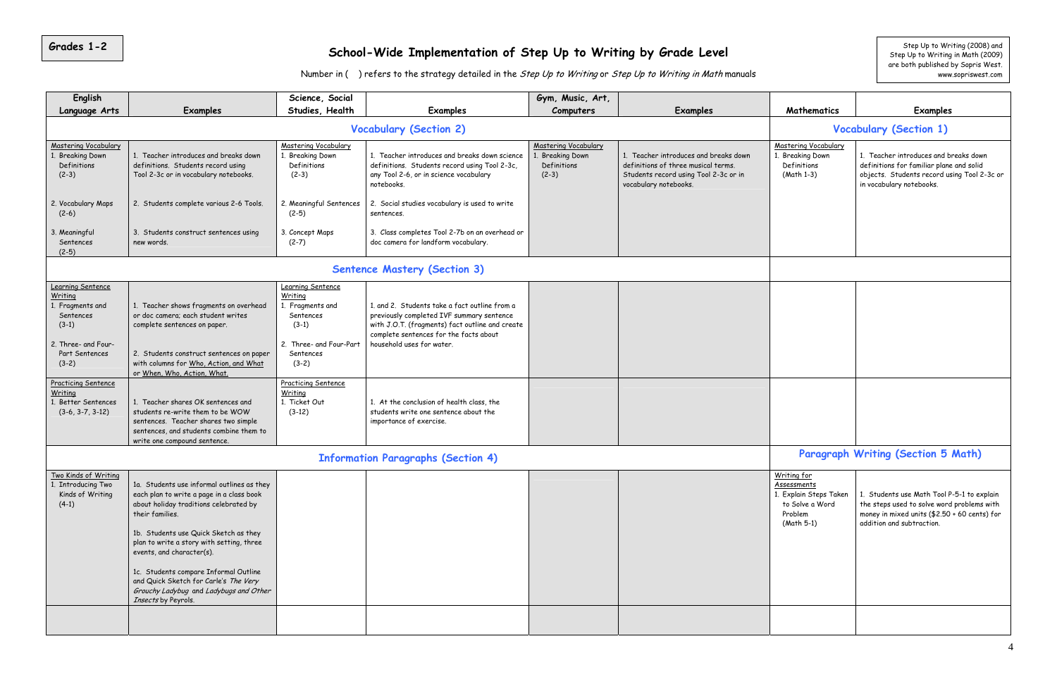## **Grades 1-2** School-Wide Implementation of Step Up to Writing by Grade Level step Up to Writing (2008) and Step Up to Writing (2008) and

Number in ( ) refers to the strategy detailed in the Step Up to Writing or Step Up to Writing in Math manuals

Step Up to Writing (2008) and<br>Step Up to Writing in Math (2009) are both published by Sopris West. www.sopriswest.com

| English                                                                                                                      |                                                                                                                                                                                                                                                                                                                                                                                                                            | Science, Social                                                                                                          |                                                                                                                                                                                                                      | Gym, Music, Art,                                                   |                                                                                                                                                |                                                                                                  |                                                                                                                                                                       |
|------------------------------------------------------------------------------------------------------------------------------|----------------------------------------------------------------------------------------------------------------------------------------------------------------------------------------------------------------------------------------------------------------------------------------------------------------------------------------------------------------------------------------------------------------------------|--------------------------------------------------------------------------------------------------------------------------|----------------------------------------------------------------------------------------------------------------------------------------------------------------------------------------------------------------------|--------------------------------------------------------------------|------------------------------------------------------------------------------------------------------------------------------------------------|--------------------------------------------------------------------------------------------------|-----------------------------------------------------------------------------------------------------------------------------------------------------------------------|
| Language Arts                                                                                                                | Examples                                                                                                                                                                                                                                                                                                                                                                                                                   | Studies, Health                                                                                                          | <b>Examples</b>                                                                                                                                                                                                      | Computers                                                          | <b>Examples</b>                                                                                                                                | Mathematics                                                                                      | Examples                                                                                                                                                              |
|                                                                                                                              |                                                                                                                                                                                                                                                                                                                                                                                                                            |                                                                                                                          | <b>Vocabulary (Section 2)</b>                                                                                                                                                                                        |                                                                    |                                                                                                                                                |                                                                                                  | <b>Vocabulary (Section 1)</b>                                                                                                                                         |
| <b>Mastering Vocabulary</b><br>1. Breaking Down<br>Definitions<br>$(2-3)$                                                    | 1. Teacher introduces and breaks down<br>definitions. Students record using<br>Tool 2-3c or in vocabulary notebooks.                                                                                                                                                                                                                                                                                                       | Mastering Vocabulary<br>. Breaking Down<br>Definitions<br>$(2-3)$                                                        | 1. Teacher introduces and breaks down science<br>definitions. Students record using Tool 2-3c,<br>any Tool 2-6, or in science vocabulary<br>notebooks.                                                               | Mastering Vocabulary<br>1. Breaking Down<br>Definitions<br>$(2-3)$ | 1. Teacher introduces and breaks down<br>definitions of three musical terms.<br>Students record using Tool 2-3c or in<br>vocabulary notebooks. | Mastering Vocabulary<br>1. Breaking Down<br>Definitions<br>(Math 1-3)                            | 1. Teacher introduces and breaks down<br>definitions for familiar plane and solid<br>objects. Students record using Tool 2-3c or<br>in vocabulary notebooks.          |
| 2. Vocabulary Maps<br>$(2-6)$                                                                                                | 2. Students complete various 2-6 Tools.                                                                                                                                                                                                                                                                                                                                                                                    | 2. Meaningful Sentences<br>$(2-5)$                                                                                       | 2. Social studies vocabulary is used to write<br>sentences.                                                                                                                                                          |                                                                    |                                                                                                                                                |                                                                                                  |                                                                                                                                                                       |
| 3. Meaningful<br>Sentences<br>$(2-5)$                                                                                        | 3. Students construct sentences using<br>new words.                                                                                                                                                                                                                                                                                                                                                                        | 3. Concept Maps<br>$(2-7)$                                                                                               | 3. Class completes Tool 2-7b on an overhead or<br>doc camera for landform vocabulary.                                                                                                                                |                                                                    |                                                                                                                                                |                                                                                                  |                                                                                                                                                                       |
|                                                                                                                              |                                                                                                                                                                                                                                                                                                                                                                                                                            |                                                                                                                          | <b>Sentence Mastery (Section 3)</b>                                                                                                                                                                                  |                                                                    |                                                                                                                                                |                                                                                                  |                                                                                                                                                                       |
| Learning Sentence<br>Writing<br>1. Fragments and<br>Sentences<br>$(3-1)$<br>2. Three- and Four-<br>Part Sentences<br>$(3-2)$ | 1. Teacher shows fragments on overhead<br>or doc camera; each student writes<br>complete sentences on paper.<br>2. Students construct sentences on paper<br>with columns for Who, Action, and What<br>or When, Who, Action, What.                                                                                                                                                                                          | Learning Sentence<br>Writing<br>Fragments and<br>Sentences<br>$(3-1)$<br>2. Three- and Four-Part<br>Sentences<br>$(3-2)$ | 1, and 2. Students take a fact outline from a<br>previously completed IVF summary sentence<br>with J.O.T. (fragments) fact outline and create<br>complete sentences for the facts about<br>household uses for water. |                                                                    |                                                                                                                                                |                                                                                                  |                                                                                                                                                                       |
| <b>Practicing Sentence</b><br>Writing<br>1. Better Sentences<br>$(3-6, 3-7, 3-12)$                                           | 1. Teacher shares OK sentences and<br>students re-write them to be WOW<br>sentences. Teacher shares two simple<br>sentences, and students combine them to<br>write one compound sentence.                                                                                                                                                                                                                                  | <b>Practicing Sentence</b><br><b>Writing</b><br>1. Ticket Out<br>$(3-12)$                                                | 1. At the conclusion of health class, the<br>students write one sentence about the<br>importance of exercise.                                                                                                        |                                                                    |                                                                                                                                                |                                                                                                  |                                                                                                                                                                       |
|                                                                                                                              |                                                                                                                                                                                                                                                                                                                                                                                                                            |                                                                                                                          | <b>Information Paragraphs (Section 4)</b>                                                                                                                                                                            |                                                                    |                                                                                                                                                |                                                                                                  | Paragraph Writing (Section 5 Math)                                                                                                                                    |
| Two Kinds of Writing<br>1. Introducing Two<br>Kinds of Writing<br>$(4-1)$                                                    | 1a. Students use informal outlines as they<br>each plan to write a page in a class book<br>about holiday traditions celebrated by<br>their families.<br>1b. Students use Quick Sketch as they<br>plan to write a story with setting, three<br>events, and character(s).<br>1c. Students compare Informal Outline<br>and Quick Sketch for Carle's The Very<br>Grouchy Ladybug and Ladybugs and Other<br>Insects by Peyrols. |                                                                                                                          |                                                                                                                                                                                                                      |                                                                    |                                                                                                                                                | Writing for<br>Assessments<br>1. Explain Steps Taken<br>to Solve a Word<br>Problem<br>(Math 5-1) | 1. Students use Math Tool P-5-1 to explain<br>the steps used to solve word problems with<br>money in mixed units (\$2.50 + 60 cents) for<br>addition and subtraction. |
|                                                                                                                              |                                                                                                                                                                                                                                                                                                                                                                                                                            |                                                                                                                          |                                                                                                                                                                                                                      |                                                                    |                                                                                                                                                |                                                                                                  |                                                                                                                                                                       |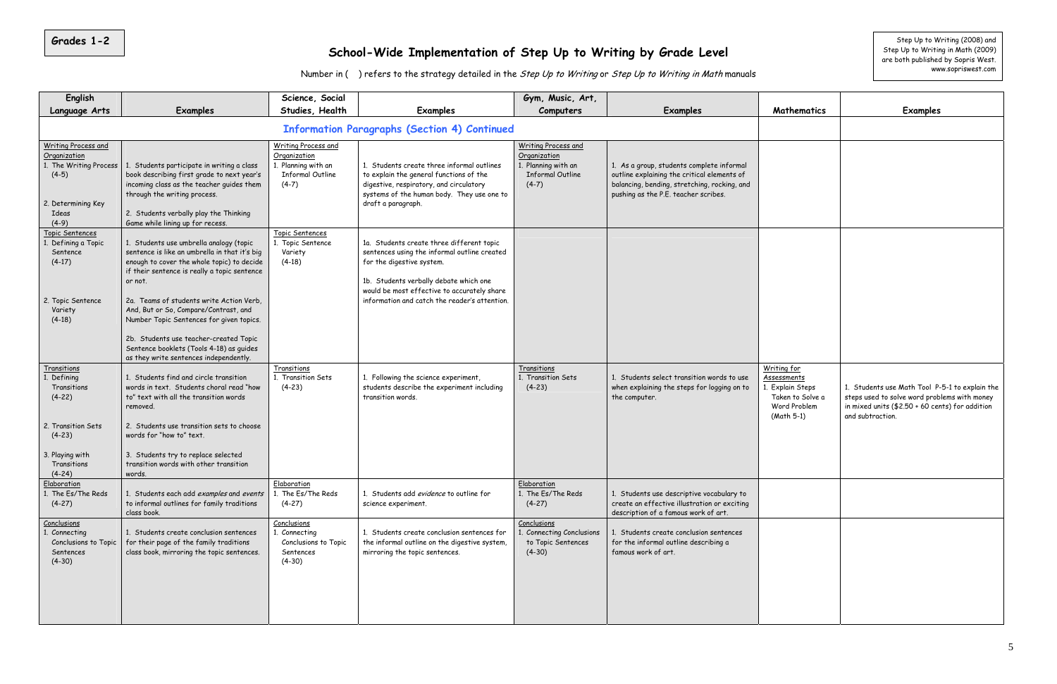### **School-Wide Implementation of Step Up to Writing by Grade Level**

Number in ( ) refers to the strategy detailed in the Step Up to Writing or Step Up to Writing in Math manuals

| English                                                                                         |                                                                                                                                                                                                                                                                              | Science, Social                                                                                         |                                                                                                                                                                                                                 | Gym, Music, Art,                                                                                        |                                                                                                                                                                                  |                                                                                                  |                                                                                                                           |
|-------------------------------------------------------------------------------------------------|------------------------------------------------------------------------------------------------------------------------------------------------------------------------------------------------------------------------------------------------------------------------------|---------------------------------------------------------------------------------------------------------|-----------------------------------------------------------------------------------------------------------------------------------------------------------------------------------------------------------------|---------------------------------------------------------------------------------------------------------|----------------------------------------------------------------------------------------------------------------------------------------------------------------------------------|--------------------------------------------------------------------------------------------------|---------------------------------------------------------------------------------------------------------------------------|
| Language Arts                                                                                   | <b>Examples</b>                                                                                                                                                                                                                                                              | Studies, Health                                                                                         | <b>Examples</b>                                                                                                                                                                                                 | Computers                                                                                               | Examples                                                                                                                                                                         | Mathematics                                                                                      | <b>Examples</b>                                                                                                           |
| <b>Information Paragraphs (Section 4) Continued</b>                                             |                                                                                                                                                                                                                                                                              |                                                                                                         |                                                                                                                                                                                                                 |                                                                                                         |                                                                                                                                                                                  |                                                                                                  |                                                                                                                           |
| <b>Writing Process and</b><br>Organization<br>$(4-5)$<br>2. Determining Key<br>Ideas<br>$(4-9)$ | 1. The Writing Process   1. Students participate in writing a class<br>book describing first grade to next year's<br>incoming class as the teacher guides them<br>through the writing process.<br>2. Students verbally play the Thinking<br>Game while lining up for recess. | <b>Writing Process and</b><br>Organization<br>1. Planning with an<br><b>Informal Outline</b><br>$(4-7)$ | 1. Students create three informal outlines<br>to explain the general functions of the<br>digestive, respiratory, and circulatory<br>systems of the human body. They use one to<br>draft a paragraph.            | <b>Writing Process and</b><br>Organization<br>1. Planning with an<br><b>Informal Outline</b><br>$(4-7)$ | 1. As a group, students complete informal<br>outline explaining the critical elements of<br>balancing, bending, stretching, rocking, and<br>pushing as the P.E. teacher scribes. |                                                                                                  |                                                                                                                           |
| Topic Sentences<br>1. Defining a Topic<br>Sentence<br>$(4-17)$                                  | 1. Students use umbrella analogy (topic<br>sentence is like an umbrella in that it's big<br>enough to cover the whole topic) to decide<br>if their sentence is really a topic sentence<br>or not.                                                                            | Topic Sentences<br>1. Topic Sentence<br>Variety<br>$(4-18)$                                             | 1a. Students create three different topic<br>sentences using the informal outline created<br>for the digestive system.<br>1b. Students verbally debate which one<br>would be most effective to accurately share |                                                                                                         |                                                                                                                                                                                  |                                                                                                  |                                                                                                                           |
| 2. Topic Sentence<br>Variety<br>$(4-18)$                                                        | 2a. Teams of students write Action Verb.<br>And, But or So, Compare/Contrast, and<br>Number Topic Sentences for given topics.<br>2b. Students use teacher-created Topic<br>Sentence booklets (Tools 4-18) as guides<br>as they write sentences independently.                |                                                                                                         | information and catch the reader's attention.                                                                                                                                                                   |                                                                                                         |                                                                                                                                                                                  |                                                                                                  |                                                                                                                           |
| <b>Transitions</b><br>1. Defining<br>Transitions<br>$(4-22)$                                    | 1. Students find and circle transition<br>words in text. Students choral read "how<br>to" text with all the transition words<br>removed.                                                                                                                                     | Transitions<br>1. Transition Sets<br>$(4-23)$                                                           | 1. Following the science experiment,<br>students describe the experiment including<br>transition words.                                                                                                         | Transitions<br>1. Transition Sets<br>$(4-23)$                                                           | 1. Students select transition words to use<br>when explaining the steps for logging on to<br>the computer.                                                                       | Writing for<br>Assessments<br>1. Explain Steps<br>Taken to Solve a<br>Word Problem<br>(Math 5-1) | 1. Students use Math Tool P-5<br>steps used to solve word proble<br>in mixed units $($2.50 + 60$ cent<br>and subtraction. |
| 2. Transition Sets<br>$(4-23)$<br>3. Playing with<br>Transitions<br>$(4-24)$                    | 2. Students use transition sets to choose<br>words for "how to" text.<br>3. Students try to replace selected<br>transition words with other transition<br>words.                                                                                                             |                                                                                                         |                                                                                                                                                                                                                 |                                                                                                         |                                                                                                                                                                                  |                                                                                                  |                                                                                                                           |
| Elaboration<br>The Es/The Reds<br>$(4-27)$                                                      | 1. Students each add examples and events<br>to informal outlines for family traditions<br>class book.                                                                                                                                                                        | Elaboration<br>1. The Es/The Reds<br>$(4-27)$                                                           | 1. Students add evidence to outline for<br>science experiment.                                                                                                                                                  | Elaboration<br>1. The Es/The Reds<br>$(4-27)$                                                           | 1. Students use descriptive vocabulary to<br>create an effective illustration or exciting<br>description of a famous work of art.                                                |                                                                                                  |                                                                                                                           |
| Conclusions<br>Connecting<br>Conclusions to Topic<br>Sentences<br>$(4-30)$                      | 1. Students create conclusion sentences<br>for their page of the family traditions<br>class book, mirroring the topic sentences.                                                                                                                                             | Conclusions<br>1. Connecting<br>Conclusions to Topic<br>Sentences<br>$(4-30)$                           | 1. Students create conclusion sentences for<br>the informal outline on the digestive system,<br>mirroring the topic sentences.                                                                                  | Conclusions<br>1. Connecting Conclusions<br>to Topic Sentences<br>$(4-30)$                              | 1. Students create conclusion sentences<br>for the informal outline describing a<br>famous work of art.                                                                          |                                                                                                  |                                                                                                                           |

| Mathematics                                                                                             | <b>Examples</b>                                                                                                                                                       |
|---------------------------------------------------------------------------------------------------------|-----------------------------------------------------------------------------------------------------------------------------------------------------------------------|
|                                                                                                         |                                                                                                                                                                       |
|                                                                                                         |                                                                                                                                                                       |
|                                                                                                         |                                                                                                                                                                       |
|                                                                                                         |                                                                                                                                                                       |
|                                                                                                         |                                                                                                                                                                       |
|                                                                                                         |                                                                                                                                                                       |
| Writing for<br><u>Assessments</u><br>1. Explain Steps<br>Taken to Solve a<br>Word Problem<br>(Math 5-1) | 1. Students use Math Tool P-5-1 to explain the<br>steps used to solve word problems with money<br>in mixed units (\$2.50 + 60 cents) for addition<br>and subtraction. |
|                                                                                                         |                                                                                                                                                                       |
|                                                                                                         |                                                                                                                                                                       |

**Grades 1-2** Step Up to Writing (2008) and Step Up to Writing in Math (2009) are both published by Sopris West. www.sopriswest.com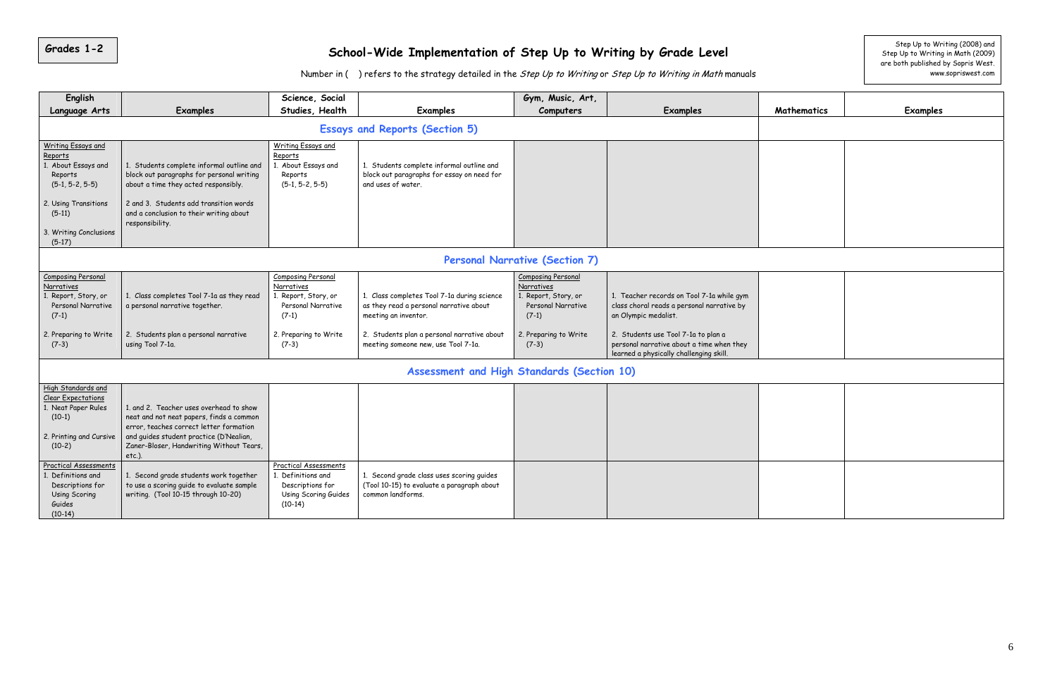# **Grades 1-2** School-Wide Implementation of Step Up to Writing by Grade Level step Up to Writing (2008) and Step Up to Writing (2008) and Step Up to Writing (2009)

|                                                                                                                           | Number in () refers to the strategy detailed in the Step Up to Writing or Step Up to Writing in Math manuals                                                                                                                       |                                                                                                             |                                                                                                                |                                                                                          |                                                                                                                             |             | are both published by Sopris West.<br>www.sopriswest.com |
|---------------------------------------------------------------------------------------------------------------------------|------------------------------------------------------------------------------------------------------------------------------------------------------------------------------------------------------------------------------------|-------------------------------------------------------------------------------------------------------------|----------------------------------------------------------------------------------------------------------------|------------------------------------------------------------------------------------------|-----------------------------------------------------------------------------------------------------------------------------|-------------|----------------------------------------------------------|
| English<br><b>Language Arts</b>                                                                                           | <b>Examples</b>                                                                                                                                                                                                                    | Science, Social<br>Studies, Health                                                                          | Examples                                                                                                       | Gym, Music, Art,<br>Computers                                                            | Examples                                                                                                                    | Mathematics | <b>Examples</b>                                          |
|                                                                                                                           |                                                                                                                                                                                                                                    |                                                                                                             | <b>Essays and Reports (Section 5)</b>                                                                          |                                                                                          |                                                                                                                             |             |                                                          |
| <b>Writing Essays and</b><br>Reports<br>1. About Essays and<br>Reports<br>$(5-1, 5-2, 5-5)$                               | 1. Students complete informal outline and<br>block out paragraphs for personal writing<br>about a time they acted responsibly.                                                                                                     | <b>Writing Essays and</b><br>Reports<br>. About Essays and<br>Reports<br>$(5-1, 5-2, 5-5)$                  | 1. Students complete informal outline and<br>block out paragraphs for essay on need for<br>and uses of water.  |                                                                                          |                                                                                                                             |             |                                                          |
| 2. Using Transitions<br>$(5-11)$<br>3. Writing Conclusions                                                                | 2 and 3. Students add transition words<br>and a conclusion to their writing about<br>responsibility.                                                                                                                               |                                                                                                             |                                                                                                                |                                                                                          |                                                                                                                             |             |                                                          |
| $(5-17)$                                                                                                                  |                                                                                                                                                                                                                                    |                                                                                                             |                                                                                                                |                                                                                          |                                                                                                                             |             |                                                          |
|                                                                                                                           |                                                                                                                                                                                                                                    |                                                                                                             |                                                                                                                | <b>Personal Narrative (Section 7)</b>                                                    |                                                                                                                             |             |                                                          |
| <b>Composing Personal</b><br>Narratives<br>1. Report, Story, or<br>Personal Narrative<br>$(7-1)$                          | 1. Class completes Tool 7-1a as they read<br>a personal narrative together.                                                                                                                                                        | <b>Composing Personal</b><br>Narratives<br>. Report, Story, or<br>Personal Narrative<br>$(7-1)$             | 1. Class completes Tool 7-1a during science<br>as they read a personal narrative about<br>meeting an inventor. | Composing Personal<br>Narratives<br>. Report, Story, or<br>Personal Narrative<br>$(7-1)$ | 1. Teacher records on Tool 7-1a while gym<br>class choral reads a personal narrative by<br>an Olympic medalist.             |             |                                                          |
| 2. Preparing to Write<br>$(7-3)$                                                                                          | 2. Students plan a personal narrative<br>using Tool 7-1a.                                                                                                                                                                          | 2. Preparing to Write<br>$(7-3)$                                                                            | 2. Students plan a personal narrative about<br>meeting someone new, use Tool 7-1a.                             | 2. Preparing to Write<br>$(7-3)$                                                         | 2. Students use Tool 7-1a to plan a<br>personal narrative about a time when they<br>learned a physically challenging skill. |             |                                                          |
|                                                                                                                           |                                                                                                                                                                                                                                    |                                                                                                             | Assessment and High Standards (Section 10)                                                                     |                                                                                          |                                                                                                                             |             |                                                          |
| High Standards and<br><b>Clear Expectations</b><br>1. Neat Paper Rules<br>$(10-1)$<br>2. Printing and Cursive<br>$(10-2)$ | 1. and 2. Teacher uses overhead to show<br>neat and not neat papers, finds a common<br>error, teaches correct letter formation<br>and quides student practice (D'Nealian,<br>Zaner-Bloser, Handwriting Without Tears,<br>$etc.$ ). |                                                                                                             |                                                                                                                |                                                                                          |                                                                                                                             |             |                                                          |
| <b>Practical Assessments</b><br>1. Definitions and<br>Descriptions for<br>Using Scoring<br>Guides<br>$(10-14)$            | 1. Second grade students work together<br>to use a scoring guide to evaluate sample<br>writing. (Tool 10-15 through 10-20)                                                                                                         | <b>Practical Assessments</b><br>1. Definitions and<br>Descriptions for<br>Using Scoring Guides<br>$(10-14)$ | 1. Second grade class uses scoring guides<br>(Tool 10-15) to evaluate a paragraph about<br>common landforms.   |                                                                                          |                                                                                                                             |             |                                                          |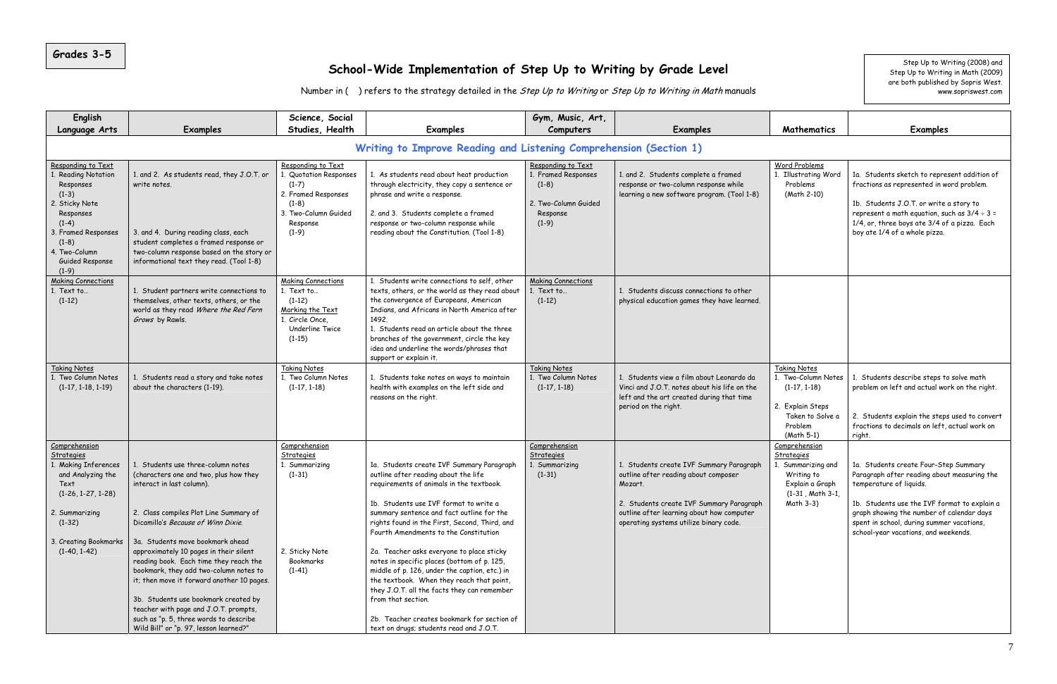#### **School-Wide Implementation of Step Up to Writing by Grade Level**

Number in () refers to the strategy detailed in the Step Up to Writing or Step Up to Writing in Math manuals

| <b>English</b>                                                                                                                                                                                   |                                                                                                                                                                                                                                                                                                                                                                                                                                                                                                                                                                                | Science, Social<br>Studies, Health                                                                                                      | <b>Examples</b>                                                                                                                                                                                                                                                                                                                                                                                                                                                                                                                                                                                                                                                         | Gym, Music, Art,                                                                                    | <b>Examples</b>                                                                                                                                                                                                                |
|--------------------------------------------------------------------------------------------------------------------------------------------------------------------------------------------------|--------------------------------------------------------------------------------------------------------------------------------------------------------------------------------------------------------------------------------------------------------------------------------------------------------------------------------------------------------------------------------------------------------------------------------------------------------------------------------------------------------------------------------------------------------------------------------|-----------------------------------------------------------------------------------------------------------------------------------------|-------------------------------------------------------------------------------------------------------------------------------------------------------------------------------------------------------------------------------------------------------------------------------------------------------------------------------------------------------------------------------------------------------------------------------------------------------------------------------------------------------------------------------------------------------------------------------------------------------------------------------------------------------------------------|-----------------------------------------------------------------------------------------------------|--------------------------------------------------------------------------------------------------------------------------------------------------------------------------------------------------------------------------------|
| Language Arts                                                                                                                                                                                    | <b>Examples</b>                                                                                                                                                                                                                                                                                                                                                                                                                                                                                                                                                                |                                                                                                                                         |                                                                                                                                                                                                                                                                                                                                                                                                                                                                                                                                                                                                                                                                         | Computers                                                                                           |                                                                                                                                                                                                                                |
|                                                                                                                                                                                                  |                                                                                                                                                                                                                                                                                                                                                                                                                                                                                                                                                                                |                                                                                                                                         | Writing to Improve Reading and Listening Comprehension (Section 1)                                                                                                                                                                                                                                                                                                                                                                                                                                                                                                                                                                                                      |                                                                                                     |                                                                                                                                                                                                                                |
| Responding to Text<br><b>Reading Notation</b><br>Responses<br>$(1-3)$<br>2. Sticky Note<br>Responses<br>$(1-4)$<br>3. Framed Responses<br>$(1-8)$<br>4. Two-Column<br>Guided Response<br>$(1-9)$ | 1. and 2. As students read, they J.O.T. or<br>write notes.<br>3. and 4. During reading class, each<br>student completes a framed response or<br>two-column response based on the story or<br>informational text they read. (Tool 1-8)                                                                                                                                                                                                                                                                                                                                          | Responding to Text<br>. Quotation Responses<br>$(1-7)$<br>2. Framed Responses<br>$(1-8)$<br>3. Two-Column Guided<br>Response<br>$(1-9)$ | 1. As students read about heat production<br>through electricity, they copy a sentence or<br>phrase and write a response.<br>2. and 3. Students complete a framed<br>response or two-column response while<br>reading about the Constitution. (Tool 1-8)                                                                                                                                                                                                                                                                                                                                                                                                                | Responding to Text<br>1. Framed Responses<br>$(1-8)$<br>2. Two-Column Guided<br>Response<br>$(1-9)$ | 1. and 2. Students complete a framed<br>response or two-column response while<br>learning a new software program. (Tool 1-8)                                                                                                   |
| <b>Making Connections</b><br>$1.$ Text to<br>$(1-12)$                                                                                                                                            | 1. Student partners write connections to<br>themselves, other texts, others, or the<br>world as they read Where the Red Fern<br>Grows by Rawls.                                                                                                                                                                                                                                                                                                                                                                                                                                | <b>Making Connections</b><br>1. Text to<br>$(1-12)$<br>Marking the Text<br>1. Circle Once.<br>Underline Twice<br>$(1-15)$               | 1. Students write connections to self, other<br>texts, others, or the world as they read about<br>the convergence of Europeans, American<br>Indians, and Africans in North America after<br>1492.<br>1. Students read an article about the three<br>branches of the government, circle the key<br>idea and underline the words/phrases that<br>support or explain it.                                                                                                                                                                                                                                                                                                   | <b>Making Connections</b><br>1. Text to<br>$(1-12)$                                                 | 1. Students discuss connections to other<br>physical education games they have learned.                                                                                                                                        |
| <b>Taking Notes</b><br>1. Two Column Notes<br>$(1-17, 1-18, 1-19)$                                                                                                                               | 1. Students read a story and take notes<br>about the characters (1-19).                                                                                                                                                                                                                                                                                                                                                                                                                                                                                                        | <b>Taking Notes</b><br>1. Two Column Notes<br>$(1-17, 1-18)$                                                                            | 1. Students take notes on ways to maintain<br>health with examples on the left side and<br>reasons on the right.                                                                                                                                                                                                                                                                                                                                                                                                                                                                                                                                                        | <b>Taking Notes</b><br>1. Two Column Notes<br>$(1-17, 1-18)$                                        | 1. Students view a film about Leonardo da<br>Vinci and J.O.T. notes about his life on the<br>left and the art created during that time<br>period on the right.                                                                 |
| Comprehension<br><b>Strategies</b><br>. Making Inferences<br>and Analyzing the<br>Text<br>$(1-26, 1-27, 1-28)$<br>2. Summarizing<br>$(1-32)$<br>3. Creating Bookmarks<br>$(1-40, 1-42)$          | 1. Students use three-column notes<br>(characters one and two, plus how they<br>interact in last column).<br>2. Class compiles Plot Line Summary of<br>Dicamillo's Because of Winn Dixie.<br>3a. Students move bookmark ahead<br>approximately 10 pages in their silent<br>reading book. Each time they reach the<br>bookmark, they add two-column notes to<br>it; then move it forward another 10 pages.<br>3b. Students use bookmark created by<br>teacher with page and J.O.T. prompts,<br>such as "p. 5, three words to describe<br>Wild Bill" or "p. 97, lesson learned?" | Comprehension<br>Strategies<br>1. Summarizing<br>$(1-31)$<br>2. Sticky Note<br>Bookmarks<br>$(1-41)$                                    | 1a. Students create IVF Summary Paragraph<br>outline after reading about the life<br>requirements of animals in the textbook.<br>1b. Students use IVF format to write a<br>summary sentence and fact outline for the<br>rights found in the First, Second, Third, and<br>Fourth Amendments to the Constitution<br>2a. Teacher asks everyone to place sticky<br>notes in specific places (bottom of p. 125,<br>middle of p. 126, under the caption, etc.) in<br>the textbook. When they reach that point,<br>they J.O.T. all the facts they can remember<br>from that section.<br>2b. Teacher creates bookmark for section of<br>text on drugs; students read and J.O.T. | Comprehension<br>Strategies<br>1. Summarizing<br>$(1-31)$                                           | 1. Students create IVF Summary Paragraph<br>outline after reading about composer<br>Mozart.<br>2. Students create IVF Summary Paragraph<br>outline after learning about how computer<br>operating systems utilize binary code. |

#### **Computers Examples Mathematics Examples**  Word Problems 1. Illustrating Word Problems (Math 2-10) 1a. Students sketch to represent addition of fractions as represented in word problem. 1b. Students J.O.T. or write a story to represent a math equation, such as  $3/4 \div 3 =$ 1/4, or, three boys ate 3/4 of a pizza. Each boy ate 1/4 of a whole pizza. Taking Notes 1. Two-Column Notes (1-17, 1-18) 2. Explain Steps Taken to Solve a Problem (Math 5-1) 1. Students describe steps to solve math problem on left and actual work on the right. 2. Students explain the steps used to convert fractions to decimals on left, actual work on right. **Comprehension Strategies** 1. Summarizing and Writing to 1a. Students create Four-Step Summary Paragraph after reading about measuring the

Explain a Graph (1-31 , Math 3-1, Math 3-3) temperature of liquids. 1b. Students use the IVF format to explain a graph showing the number of calendar days spent in school, during summer vacations, school-year vacations, and weekends.

Step Up to Writing (2008) and Step Up to Writing in Math (2009) are both published by Sopris West. www.sopriswest.com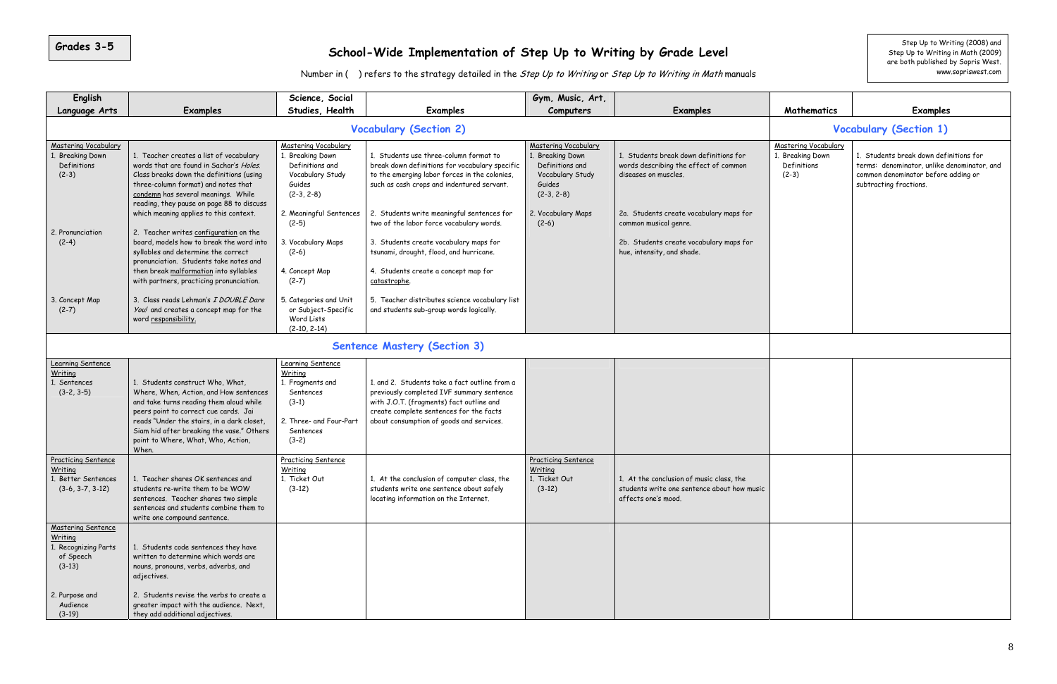| English                                                                                                      |                                                                                                                                                                                                                                                                                                                                                                                                                                                                                                                      | Science, Social                                                                                                                                                                                 |                                                                                                                                                                                                                                                                                                                                                                                                                | Gym, Music, Art,                                                                                                                           |                                                                                                                                                                                                                                                      |                                                                          |                                                                                                                                                        |
|--------------------------------------------------------------------------------------------------------------|----------------------------------------------------------------------------------------------------------------------------------------------------------------------------------------------------------------------------------------------------------------------------------------------------------------------------------------------------------------------------------------------------------------------------------------------------------------------------------------------------------------------|-------------------------------------------------------------------------------------------------------------------------------------------------------------------------------------------------|----------------------------------------------------------------------------------------------------------------------------------------------------------------------------------------------------------------------------------------------------------------------------------------------------------------------------------------------------------------------------------------------------------------|--------------------------------------------------------------------------------------------------------------------------------------------|------------------------------------------------------------------------------------------------------------------------------------------------------------------------------------------------------------------------------------------------------|--------------------------------------------------------------------------|--------------------------------------------------------------------------------------------------------------------------------------------------------|
| Language Arts                                                                                                | Examples                                                                                                                                                                                                                                                                                                                                                                                                                                                                                                             | Studies, Health                                                                                                                                                                                 | <b>Examples</b>                                                                                                                                                                                                                                                                                                                                                                                                | Computers                                                                                                                                  | <b>Examples</b>                                                                                                                                                                                                                                      | Mathematics                                                              | <b>Examples</b>                                                                                                                                        |
|                                                                                                              |                                                                                                                                                                                                                                                                                                                                                                                                                                                                                                                      |                                                                                                                                                                                                 | <b>Vocabulary (Section 2)</b>                                                                                                                                                                                                                                                                                                                                                                                  |                                                                                                                                            |                                                                                                                                                                                                                                                      |                                                                          | <b>Vocabulary (Section 1)</b>                                                                                                                          |
| <b>Mastering Vocabulary</b><br><b>Breaking Down</b><br>Definitions<br>$(2-3)$<br>2. Pronunciation<br>$(2-4)$ | 1. Teacher creates a list of vocabulary<br>words that are found in Sachar's Holes.<br>Class breaks down the definitions (using<br>three-column format) and notes that<br>condemn has several meanings. While<br>reading, they pause on page 88 to discuss<br>which meaning applies to this context.<br>2. Teacher writes configuration on the<br>board, models how to break the word into<br>syllables and determine the correct<br>pronunciation. Students take notes and<br>then break malformation into syllables | Mastering Vocabulary<br>Breaking Down<br>Definitions and<br>Vocabulary Study<br>Guides<br>$(2-3, 2-8)$<br>2. Meaningful Sentences<br>$(2-5)$<br>3. Vocabulary Maps<br>$(2-6)$<br>4. Concept Map | 1. Students use three-column format to<br>break down definitions for vocabulary specific<br>to the emerging labor forces in the colonies,<br>such as cash crops and indentured servant.<br>2. Students write meaningful sentences for<br>two of the labor force vocabulary words.<br>3. Students create vocabulary maps for<br>tsunami, drought, flood, and hurricane.<br>4. Students create a concept map for | Mastering Vocabulary<br>1. Breaking Down<br>Definitions and<br>Vocabulary Study<br>Guides<br>$(2-3, 2-8)$<br>2. Vocabulary Maps<br>$(2-6)$ | 1. Students break down definitions for<br>words describing the effect of common<br>diseases on muscles.<br>2a. Students create vocabulary maps for<br>common musical genre.<br>2b. Students create vocabulary maps for<br>hue, intensity, and shade. | <b>Mastering Vocabulary</b><br>. Breaking Down<br>Definitions<br>$(2-3)$ | 1. Students break down definitions for<br>terms: denominator, unlike denominator, and<br>common denominator before adding or<br>subtracting fractions. |
| 3. Concept Map<br>$(2-7)$                                                                                    | with partners, practicing pronunciation.<br>3. Class reads Lehman's I DOUBLE Dare<br>You! and creates a concept map for the<br>word responsibility.                                                                                                                                                                                                                                                                                                                                                                  | $(2-7)$<br>5. Categories and Unit<br>or Subject-Specific<br>Word Lists<br>$(2-10, 2-14)$                                                                                                        | catastrophe.<br>5. Teacher distributes science vocabulary list<br>and students sub-group words logically.                                                                                                                                                                                                                                                                                                      |                                                                                                                                            |                                                                                                                                                                                                                                                      |                                                                          |                                                                                                                                                        |
|                                                                                                              |                                                                                                                                                                                                                                                                                                                                                                                                                                                                                                                      |                                                                                                                                                                                                 | <b>Sentence Mastery (Section 3)</b>                                                                                                                                                                                                                                                                                                                                                                            |                                                                                                                                            |                                                                                                                                                                                                                                                      |                                                                          |                                                                                                                                                        |
| Learning Sentence<br>Writing<br>Sentences<br>$(3-2, 3-5)$                                                    | 1. Students construct Who, What,<br>Where, When, Action, and How sentences<br>and take turns reading them aloud while<br>peers point to correct cue cards. Jai<br>reads "Under the stairs, in a dark closet<br>Siam hid after breaking the vase." Others<br>point to Where, What, Who, Action,<br>When.                                                                                                                                                                                                              | Learning Sentence<br>Writing<br>1. Fragments and<br>Sentences<br>$(3-1)$<br>2. Three- and Four-Part<br>Sentences<br>$(3-2)$                                                                     | 1. and 2. Students take a fact outline from a<br>previously completed IVF summary sentence<br>with J.O.T. (fragments) fact outline and<br>create complete sentences for the facts<br>about consumption of goods and services.                                                                                                                                                                                  |                                                                                                                                            |                                                                                                                                                                                                                                                      |                                                                          |                                                                                                                                                        |
| <b>Practicing Sentence</b><br>Writing<br><b>Better Sentences</b><br>$(3-6, 3-7, 3-12)$                       | 1. Teacher shares OK sentences and<br>students re-write them to be WOW<br>sentences. Teacher shares two simple<br>sentences and students combine them to<br>write one compound sentence.                                                                                                                                                                                                                                                                                                                             | <b>Practicing Sentence</b><br>Writing<br>1. Ticket Out<br>$(3-12)$                                                                                                                              | 1. At the conclusion of computer class, the<br>students write one sentence about safely<br>locating information on the Internet.                                                                                                                                                                                                                                                                               | <b>Practicing Sentence</b><br><u>Writing</u><br>1. Ticket Out<br>$(3-12)$                                                                  | 1. At the conclusion of music class, the<br>students write one sentence about how music<br>affects one's mood.                                                                                                                                       |                                                                          |                                                                                                                                                        |
| Mastering Sentence<br>Writing<br>Recognizing Parts<br>of Speech<br>$(3-13)$<br>2. Purpose and<br>Audience    | 1. Students code sentences they have<br>written to determine which words are<br>nouns, pronouns, verbs, adverbs, and<br>adjectives.<br>2. Students revise the verbs to create a<br>greater impact with the audience. Next,                                                                                                                                                                                                                                                                                           |                                                                                                                                                                                                 |                                                                                                                                                                                                                                                                                                                                                                                                                |                                                                                                                                            |                                                                                                                                                                                                                                                      |                                                                          |                                                                                                                                                        |
| $(3-19)$                                                                                                     | they add additional adjectives.                                                                                                                                                                                                                                                                                                                                                                                                                                                                                      |                                                                                                                                                                                                 |                                                                                                                                                                                                                                                                                                                                                                                                                |                                                                                                                                            |                                                                                                                                                                                                                                                      |                                                                          |                                                                                                                                                        |

# 5 Step Up to Writing (2008) and **School-Wide Implementation of Step Up to Writing by Grade Level** step Up to Writing in Math (2009)

Number in ( ) refers to the strategy detailed in the Step Up to Writing or Step Up to Writing in Math manuals

are both published by Sopris West. www.sopriswest.com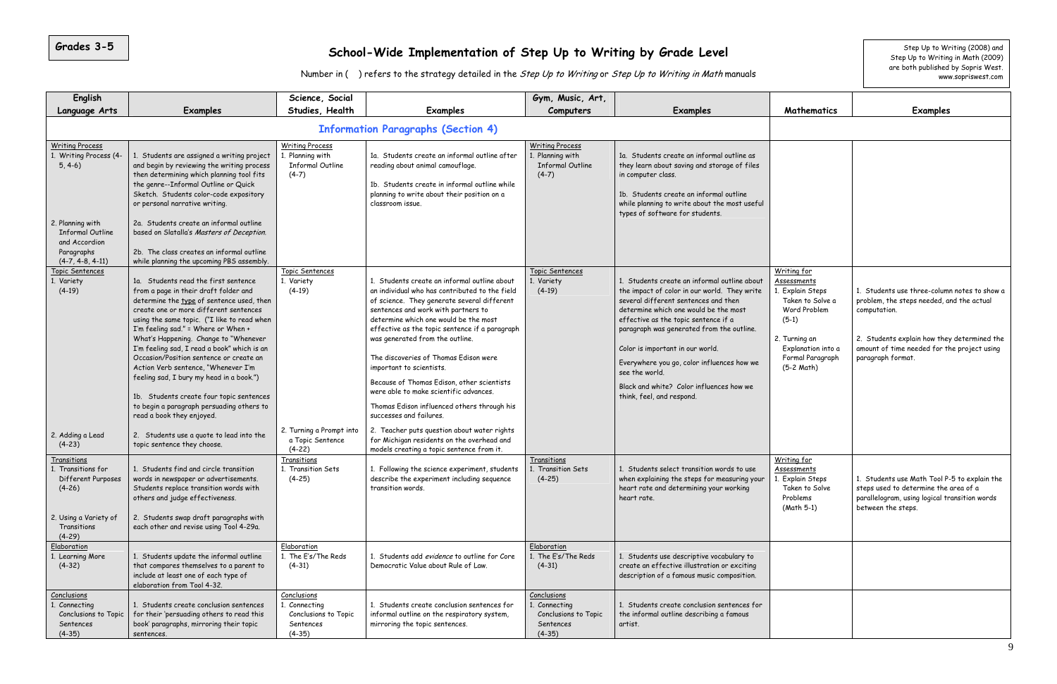| English                                                                                                                                                           |                                                                                                                                                                                                                                                                                                                                                                                                                                                                                                                                                                                                        | Science, Social                                                                 |                                                                                                                                                                                                                                                                                                                                                                                                                                                                                                                                                           | Gym, Music, Art,                                                                 |                                                                                                                                                                                                                                                                                                                                                                                                                                                 |                                                                                                                                                                     |                                                                                                                                                                     |
|-------------------------------------------------------------------------------------------------------------------------------------------------------------------|--------------------------------------------------------------------------------------------------------------------------------------------------------------------------------------------------------------------------------------------------------------------------------------------------------------------------------------------------------------------------------------------------------------------------------------------------------------------------------------------------------------------------------------------------------------------------------------------------------|---------------------------------------------------------------------------------|-----------------------------------------------------------------------------------------------------------------------------------------------------------------------------------------------------------------------------------------------------------------------------------------------------------------------------------------------------------------------------------------------------------------------------------------------------------------------------------------------------------------------------------------------------------|----------------------------------------------------------------------------------|-------------------------------------------------------------------------------------------------------------------------------------------------------------------------------------------------------------------------------------------------------------------------------------------------------------------------------------------------------------------------------------------------------------------------------------------------|---------------------------------------------------------------------------------------------------------------------------------------------------------------------|---------------------------------------------------------------------------------------------------------------------------------------------------------------------|
| Language Arts                                                                                                                                                     | <b>Examples</b>                                                                                                                                                                                                                                                                                                                                                                                                                                                                                                                                                                                        | Studies, Health                                                                 | <b>Examples</b>                                                                                                                                                                                                                                                                                                                                                                                                                                                                                                                                           | Computers                                                                        | Examples                                                                                                                                                                                                                                                                                                                                                                                                                                        | Mathematics                                                                                                                                                         | <b>Examples</b>                                                                                                                                                     |
|                                                                                                                                                                   |                                                                                                                                                                                                                                                                                                                                                                                                                                                                                                                                                                                                        |                                                                                 |                                                                                                                                                                                                                                                                                                                                                                                                                                                                                                                                                           |                                                                                  |                                                                                                                                                                                                                                                                                                                                                                                                                                                 |                                                                                                                                                                     |                                                                                                                                                                     |
| <b>Writing Process</b><br>1. Writing Process (4-<br>$5, 4-6)$<br>2. Planning with<br><b>Informal Outline</b><br>and Accordion<br>Paragraphs<br>$(4-7, 4-8, 4-11)$ | 1. Students are assigned a writing project<br>and begin by reviewing the writing process<br>then determining which planning tool fits<br>the genre--Informal Outline or Quick<br>Sketch. Students color-code expository<br>or personal narrative writing.<br>2a. Students create an informal outline<br>based on Slatalla's Masters of Deception.<br>2b. The class creates an informal outline<br>while planning the upcoming PBS assembly.                                                                                                                                                            | <b>Writing Process</b><br>. Planning with<br><b>Informal Outline</b><br>$(4-7)$ | 1a. Students create an informal outline after<br>reading about animal camouflage.<br>1b. Students create in informal outline while<br>planning to write about their position on a<br>classroom issue.                                                                                                                                                                                                                                                                                                                                                     | <b>Writing Process</b><br>1. Planning with<br><b>Informal Outline</b><br>$(4-7)$ | 1a. Students create an informal outline as<br>they learn about saving and storage of files<br>in computer class.<br>1b. Students create an informal outline<br>while planning to write about the most useful<br>types of software for students.                                                                                                                                                                                                 |                                                                                                                                                                     |                                                                                                                                                                     |
| Topic Sentences<br>1. Variety<br>$(4-19)$                                                                                                                         | 1a. Students read the first sentence<br>from a page in their draft folder and<br>determine the type of sentence used, then<br>create one or more different sentences<br>using the same topic. ("I like to read when<br>I'm feeling sad." = Where or When +<br>What's Happening. Change to "Whenever<br>I'm feeling sad, I read a book" which is an<br>Occasion/Position sentence or create an<br>Action Verb sentence, "Whenever I'm<br>feeling sad, I bury my head in a book.")<br>1b. Students create four topic sentences<br>to begin a paragraph persuading others to<br>read a book they enjoyed. | Topic Sentences<br>1. Variety<br>$(4-19)$                                       | 1. Students create an informal outline about<br>an individual who has contributed to the field<br>of science. They generate several different<br>sentences and work with partners to<br>determine which one would be the most<br>effective as the topic sentence if a paragraph<br>was generated from the outline.<br>The discoveries of Thomas Edison were<br>important to scientists.<br>Because of Thomas Edison, other scientists<br>were able to make scientific advances.<br>Thomas Edison influenced others through his<br>successes and failures. | Topic Sentences<br>1. Variety<br>$(4-19)$                                        | 1. Students create an informal outline about<br>the impact of color in our world. They write<br>several different sentences and then<br>determine which one would be the most<br>effective as the topic sentence if a<br>paragraph was generated from the outline.<br>Color is important in our world.<br>Everywhere you go, color influences how we<br>see the world.<br>Black and white? Color influences how we<br>think, feel, and respond. | Writing for<br>Assessments<br>Explain Steps<br>Taken to Solve a<br>Word Problem<br>$(5-1)$<br>2. Turning an<br>Explanation into a<br>Formal Paragraph<br>(5-2 Math) | 1. Students use three-column<br>problem, the steps needed, an<br>computation.<br>2. Students explain how they<br>amount of time needed for the<br>paragraph format. |
| 2. Adding a Lead<br>$(4-23)$                                                                                                                                      | 2. Students use a quote to lead into the<br>topic sentence they choose.                                                                                                                                                                                                                                                                                                                                                                                                                                                                                                                                | 2. Turning a Prompt into<br>a Topic Sentence<br>$(4-22)$                        | 2. Teacher puts question about water rights<br>for Michigan residents on the overhead and<br>models creating a topic sentence from it.                                                                                                                                                                                                                                                                                                                                                                                                                    |                                                                                  |                                                                                                                                                                                                                                                                                                                                                                                                                                                 |                                                                                                                                                                     |                                                                                                                                                                     |
| <u>Transitions</u><br>1. Transitions for<br>Different Purposes<br>$(4-26)$<br>2. Using a Variety of<br>Transitions                                                | 1. Students find and circle transition<br>words in newspaper or advertisements.<br>Students replace transition words with<br>others and judge effectiveness.<br>2. Students swap draft paragraphs with<br>each other and revise using Tool 4-29a.                                                                                                                                                                                                                                                                                                                                                      | Transitions<br>1. Transition Sets<br>$(4-25)$                                   | 1. Following the science experiment, students<br>describe the experiment including sequence<br>transition words.                                                                                                                                                                                                                                                                                                                                                                                                                                          | Transitions<br>1. Transition Sets<br>$(4-25)$                                    | 1. Students select transition words to use<br>when explaining the steps for measuring your<br>heart rate and determining your working<br>heart rate.                                                                                                                                                                                                                                                                                            | Writing for<br>Assessments<br>Explain Steps<br>Taken to Solve<br>Problems<br>(Math 5-1)                                                                             | 1. Students use Math Tool P-5<br>steps used to determine the a<br>parallelogram, using logical tra<br>between the steps.                                            |
| $(4-29)$<br>Elaboration<br>1. Learning More<br>$(4-32)$                                                                                                           | 1. Students update the informal outline<br>that compares themselves to a parent to<br>include at least one of each type of<br>elaboration from Tool 4-32.                                                                                                                                                                                                                                                                                                                                                                                                                                              | Elaboration<br>1. The E's/The Reds<br>$(4-31)$                                  | 1. Students add evidence to outline for Core<br>Democratic Value about Rule of Law.                                                                                                                                                                                                                                                                                                                                                                                                                                                                       | Elaboration<br>1. The E's/The Reds<br>$(4-31)$                                   | Students use descriptive vocabulary to<br>create an effective illustration or exciting<br>description of a famous music composition.                                                                                                                                                                                                                                                                                                            |                                                                                                                                                                     |                                                                                                                                                                     |
| Conclusions<br>Connecting<br>Conclusions to Topic<br>Sentences<br>$(4-35)$                                                                                        | 1. Students create conclusion sentences<br>for their 'persuading others to read this<br>book' paragraphs, mirroring their topic<br>sentences.                                                                                                                                                                                                                                                                                                                                                                                                                                                          | Conclusions<br>1. Connecting<br>Conclusions to Topic<br>Sentences<br>$(4-35)$   | 1. Students create conclusion sentences for<br>informal outline on the respiratory system,<br>mirroring the topic sentences.                                                                                                                                                                                                                                                                                                                                                                                                                              | Conclusions<br>1. Connecting<br>Conclusions to Topic<br>Sentences<br>$(4-35)$    | 1. Students create conclusion sentences for<br>the informal outline describing a famous<br>artist.                                                                                                                                                                                                                                                                                                                                              |                                                                                                                                                                     |                                                                                                                                                                     |

|                                                                                                                                                                        | Step Up to Writing (2008) and<br>Step Up to Writing in Math (2009)<br>are both published by Sopris West.<br>www.sopriswest.com                                                                                               |
|------------------------------------------------------------------------------------------------------------------------------------------------------------------------|------------------------------------------------------------------------------------------------------------------------------------------------------------------------------------------------------------------------------|
| <b>Mathematics</b>                                                                                                                                                     | <b>Examples</b>                                                                                                                                                                                                              |
|                                                                                                                                                                        |                                                                                                                                                                                                                              |
|                                                                                                                                                                        |                                                                                                                                                                                                                              |
| Writing for<br>Assessments<br>1. Explain Steps<br>Taken to Solve a<br>Word Problem<br>$(5-1)$<br>2. Turning an<br>Explanation into a<br>Formal Paragraph<br>(5-2 Math) | 1. Students use three-column notes to show a<br>problem, the steps needed, and the actual<br>computation.<br>2. Students explain how they determined the<br>amount of time needed for the project using<br>paragraph format. |
| Writing for<br>Assessments<br>1. Explain Steps<br>Taken to Solve<br>Problems<br>(Math 5-1)                                                                             | 1. Students use Math Tool P-5 to explain the<br>steps used to determine the area of a<br>parallelogram, using logical transition words<br>between the steps.                                                                 |
|                                                                                                                                                                        |                                                                                                                                                                                                                              |
|                                                                                                                                                                        |                                                                                                                                                                                                                              |

#### **School-Wide Implementation of Step Up to Writing by Grade Level** step Up to the step Up to Mriting (2008) and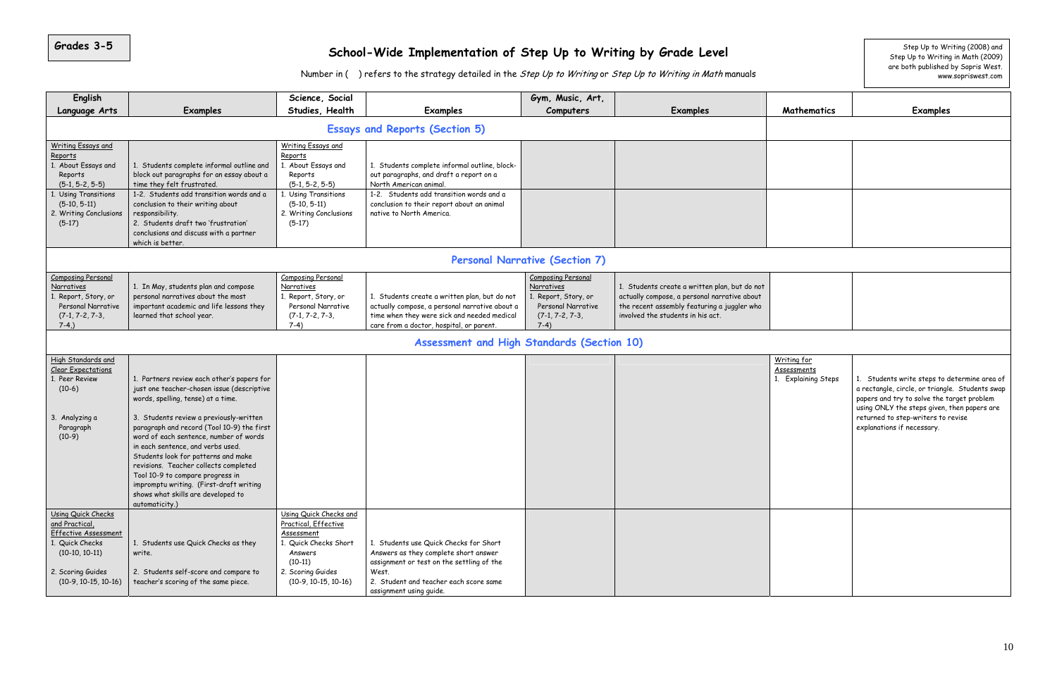| English                                                                                                                                                                    |                                                                                                                                                                                                                                                                                                                                                                                                                                                                                                                               | Science, Social                                                                                                                                                             |                                                                                                                                                                                                                                          | Gym, Music, Art,                                                                                                     |                                                                                                                                                                                   |                                                   |                                                                                                                                                                                                         |
|----------------------------------------------------------------------------------------------------------------------------------------------------------------------------|-------------------------------------------------------------------------------------------------------------------------------------------------------------------------------------------------------------------------------------------------------------------------------------------------------------------------------------------------------------------------------------------------------------------------------------------------------------------------------------------------------------------------------|-----------------------------------------------------------------------------------------------------------------------------------------------------------------------------|------------------------------------------------------------------------------------------------------------------------------------------------------------------------------------------------------------------------------------------|----------------------------------------------------------------------------------------------------------------------|-----------------------------------------------------------------------------------------------------------------------------------------------------------------------------------|---------------------------------------------------|---------------------------------------------------------------------------------------------------------------------------------------------------------------------------------------------------------|
| Language Arts                                                                                                                                                              | <b>Examples</b>                                                                                                                                                                                                                                                                                                                                                                                                                                                                                                               | Studies, Health                                                                                                                                                             | <b>Examples</b>                                                                                                                                                                                                                          | Computers                                                                                                            | <b>Examples</b>                                                                                                                                                                   | Mathematics                                       | <b>Examples</b>                                                                                                                                                                                         |
|                                                                                                                                                                            |                                                                                                                                                                                                                                                                                                                                                                                                                                                                                                                               |                                                                                                                                                                             | <b>Essays and Reports (Section 5)</b>                                                                                                                                                                                                    |                                                                                                                      |                                                                                                                                                                                   |                                                   |                                                                                                                                                                                                         |
| <b>Writing Essays and</b><br>Reports<br>1. About Essays and<br>Reports<br>$(5-1, 5-2, 5-5)$<br>. Using Transitions<br>$(5-10, 5-11)$<br>2. Writing Conclusions<br>$(5-17)$ | 1. Students complete informal outline and<br>block out paragraphs for an essay about a<br>time they felt frustrated.<br>1-2. Students add transition words and a<br>conclusion to their writing about<br>responsibility.<br>2. Students draft two 'frustration'<br>conclusions and discuss with a partner<br>which is better.                                                                                                                                                                                                 | <b>Writing Essays and</b><br>Reports<br>1. About Essays and<br>Reports<br>$(5-1, 5-2, 5-5)$<br>1. Using Transitions<br>$(5-10, 5-11)$<br>2. Writing Conclusions<br>$(5-17)$ | 1. Students complete informal outline, block-<br>out paragraphs, and draft a report on a<br>North American animal.<br>1-2. Students add transition words and a<br>conclusion to their report about an animal<br>native to North America. |                                                                                                                      |                                                                                                                                                                                   |                                                   |                                                                                                                                                                                                         |
|                                                                                                                                                                            |                                                                                                                                                                                                                                                                                                                                                                                                                                                                                                                               |                                                                                                                                                                             |                                                                                                                                                                                                                                          | <b>Personal Narrative (Section 7)</b>                                                                                |                                                                                                                                                                                   |                                                   |                                                                                                                                                                                                         |
| Composing Personal<br>Narratives<br>1. Report, Story, or<br>Personal Narrative<br>$(7-1, 7-2, 7-3,$<br>$7-4,$ )                                                            | 1. In May, students plan and compose<br>personal narratives about the most<br>important academic and life lessons they<br>learned that school year.                                                                                                                                                                                                                                                                                                                                                                           | <b>Composing Personal</b><br>Narratives<br>1. Report, Story, or<br>Personal Narrative<br>$(7-1, 7-2, 7-3,$<br>$7-4)$                                                        | 1. Students create a written plan, but do not<br>actually compose, a personal narrative about a<br>time when they were sick and needed medical<br>care from a doctor, hospital, or parent.                                               | <b>Composing Personal</b><br>Narratives<br>1. Report, Story, or<br>Personal Narrative<br>$(7-1, 7-2, 7-3,$<br>$7-4)$ | 1. Students create a written plan, but do not<br>actually compose, a personal narrative about<br>the recent assembly featuring a juggler who<br>involved the students in his act. |                                                   |                                                                                                                                                                                                         |
|                                                                                                                                                                            |                                                                                                                                                                                                                                                                                                                                                                                                                                                                                                                               |                                                                                                                                                                             | Assessment and High Standards (Section 10)                                                                                                                                                                                               |                                                                                                                      |                                                                                                                                                                                   |                                                   |                                                                                                                                                                                                         |
| High Standards and<br><b>Clear Expectations</b><br>1. Peer Review<br>$(10-6)$<br>Analyzing a<br>3.<br>Paragraph<br>$(10-9)$                                                | 1. Partners review each other's papers for<br>just one teacher-chosen issue (descriptive<br>words, spelling, tense) at a time.<br>3. Students review a previously-written<br>paragraph and record (Tool 10-9) the first<br>word of each sentence, number of words<br>in each sentence, and verbs used.<br>Students look for patterns and make<br>revisions. Teacher collects completed<br>Tool 10-9 to compare progress in<br>impromptu writing. (First-draft writing<br>shows what skills are developed to<br>automaticity.) |                                                                                                                                                                             |                                                                                                                                                                                                                                          |                                                                                                                      |                                                                                                                                                                                   | Writing for<br>Assessments<br>1. Explaining Steps | 1. Students write steps to de<br>a rectangle, circle, or triangle.<br>papers and try to solve the tai<br>using ONLY the steps given, tl<br>returned to step-writers to re<br>explanations if necessary. |
| Using Quick Checks<br>and Practical,<br>Effective Assessment<br>. Quick Checks<br>$(10-10, 10-11)$<br>2. Scoring Guides<br>$(10-9, 10-15, 10-16)$                          | 1. Students use Quick Checks as they<br>write.<br>2. Students self-score and compare to<br>teacher's scoring of the same piece.                                                                                                                                                                                                                                                                                                                                                                                               | Using Quick Checks and<br>Practical, Effective<br>Assessment<br>1. Quick Checks Short<br>Answers<br>$(10-11)$<br>2. Scoring Guides<br>$(10-9, 10-15, 10-16)$                | 1. Students use Quick Checks for Short<br>Answers as they complete short answer<br>assignment or test on the settling of the<br>West.<br>2. Student and teacher each score same<br>assignment using guide.                               |                                                                                                                      |                                                                                                                                                                                   |                                                   |                                                                                                                                                                                                         |

|                                   | Step Up to Writing (2008) and<br>Step Up to Writing in Math (2009)<br>are both published by Sopris West.<br>www.sopriswest.com                                                                                                                                   |
|-----------------------------------|------------------------------------------------------------------------------------------------------------------------------------------------------------------------------------------------------------------------------------------------------------------|
| Mathematics                       | <b>Examples</b>                                                                                                                                                                                                                                                  |
|                                   |                                                                                                                                                                                                                                                                  |
|                                   |                                                                                                                                                                                                                                                                  |
|                                   |                                                                                                                                                                                                                                                                  |
|                                   |                                                                                                                                                                                                                                                                  |
|                                   |                                                                                                                                                                                                                                                                  |
|                                   |                                                                                                                                                                                                                                                                  |
|                                   |                                                                                                                                                                                                                                                                  |
|                                   |                                                                                                                                                                                                                                                                  |
|                                   |                                                                                                                                                                                                                                                                  |
|                                   |                                                                                                                                                                                                                                                                  |
|                                   |                                                                                                                                                                                                                                                                  |
|                                   |                                                                                                                                                                                                                                                                  |
| Writing for<br><b>Assessments</b> |                                                                                                                                                                                                                                                                  |
| 1. Explaining Steps               | 1. Students write steps to determine area of<br>a rectangle, circle, or triangle. Students swap<br>papers and try to solve the target problem<br>using ONLY the steps given, then papers are<br>returned to step-writers to revise<br>explanations if necessary. |
|                                   |                                                                                                                                                                                                                                                                  |
|                                   |                                                                                                                                                                                                                                                                  |
|                                   |                                                                                                                                                                                                                                                                  |
|                                   |                                                                                                                                                                                                                                                                  |
|                                   |                                                                                                                                                                                                                                                                  |

#### **School-Wide Implementation of Step Up to Writing by Grade Level** step Up to the step Up to Writing (2008) and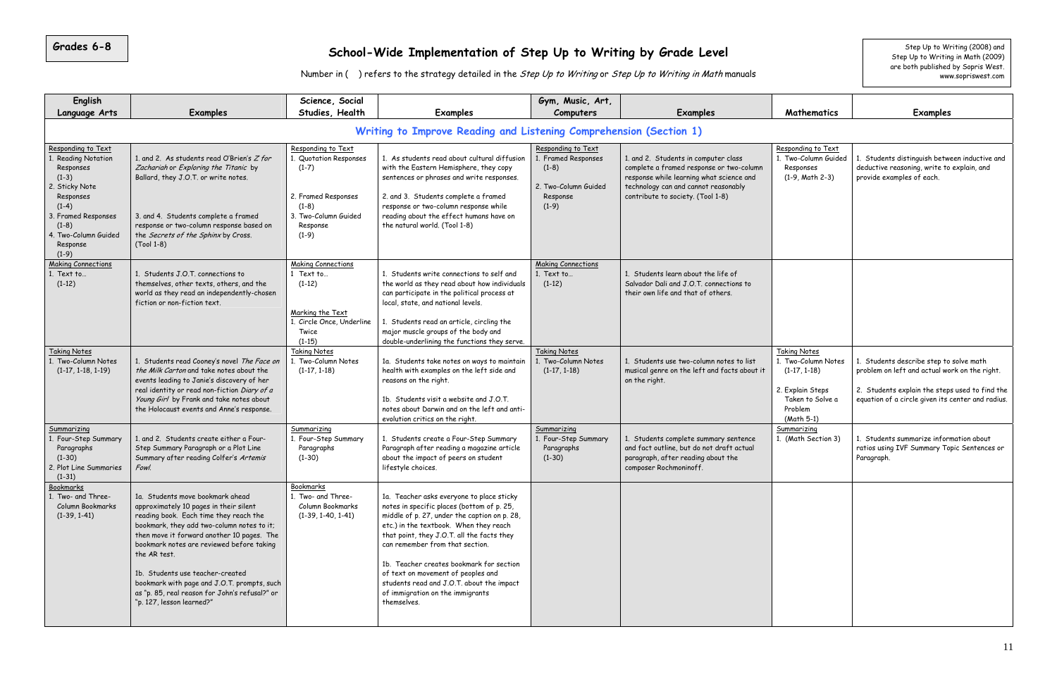| English                                                                                                                                                                                      |                                                                                                                                                                                                                                                                                                                                                                                                                                                 | Science, Social                                                                                                                          |                                                                                                                                                                                                                                                                                                                                                                                                                                                      | Gym, Music, Art,                                                                                    |                                                                                                                                                                                                           |
|----------------------------------------------------------------------------------------------------------------------------------------------------------------------------------------------|-------------------------------------------------------------------------------------------------------------------------------------------------------------------------------------------------------------------------------------------------------------------------------------------------------------------------------------------------------------------------------------------------------------------------------------------------|------------------------------------------------------------------------------------------------------------------------------------------|------------------------------------------------------------------------------------------------------------------------------------------------------------------------------------------------------------------------------------------------------------------------------------------------------------------------------------------------------------------------------------------------------------------------------------------------------|-----------------------------------------------------------------------------------------------------|-----------------------------------------------------------------------------------------------------------------------------------------------------------------------------------------------------------|
| Language Arts                                                                                                                                                                                | <b>Examples</b>                                                                                                                                                                                                                                                                                                                                                                                                                                 | Studies, Health                                                                                                                          | <b>Examples</b>                                                                                                                                                                                                                                                                                                                                                                                                                                      | Computers                                                                                           | <b>Examples</b>                                                                                                                                                                                           |
|                                                                                                                                                                                              |                                                                                                                                                                                                                                                                                                                                                                                                                                                 |                                                                                                                                          | Writing to Improve Reading and Listening Comprehension (Section 1)                                                                                                                                                                                                                                                                                                                                                                                   |                                                                                                     |                                                                                                                                                                                                           |
| Responding to Text<br>1. Reading Notation<br>Responses<br>$(1-3)$<br>2. Sticky Note<br>Responses<br>$(1-4)$<br>3. Framed Responses<br>$(1-8)$<br>4. Two-Column Guided<br>Response<br>$(1-9)$ | 1. and 2. As students read O'Brien's Z for<br>Zachariah or Exploring the Titanic by<br>Ballard, they J.O.T. or write notes.<br>3. and 4. Students complete a framed<br>response or two-column response based on<br>the Secrets of the Sphinx by Cross.<br>(Tool 1-8)                                                                                                                                                                            | Responding to Text<br>1. Quotation Responses<br>$(1-7)$<br>2. Framed Responses<br>$(1-8)$<br>3. Two-Column Guided<br>Response<br>$(1-9)$ | 1. As students read about cultural diffusion<br>with the Eastern Hemisphere, they copy<br>sentences or phrases and write responses.<br>2. and 3. Students complete a framed<br>response or two-column response while<br>reading about the effect humans have on<br>the natural world. (Tool 1-8)                                                                                                                                                     | Responding to Text<br>1. Framed Responses<br>$(1-8)$<br>2. Two-Column Guided<br>Response<br>$(1-9)$ | 1. and 2. Students in computer class<br>complete a framed response or two-column<br>response while learning what science and<br>technology can and cannot reasonably<br>contribute to society. (Tool 1-8) |
| <b>Making Connections</b><br>1. Text to<br>$(1-12)$                                                                                                                                          | 1. Students J.O.T. connections to<br>themselves, other texts, others, and the<br>world as they read an independently-chosen<br>fiction or non-fiction text.                                                                                                                                                                                                                                                                                     | <b>Making Connections</b><br>1 Text to<br>$(1-12)$<br>Marking the Text<br>1. Circle Once, Underline<br>Twice<br>$(1-15)$                 | 1. Students write connections to self and<br>the world as they read about how individuals<br>can participate in the political process at<br>local, state, and national levels.<br>1. Students read an article, circling the<br>major muscle groups of the body and<br>double-underlining the functions they serve.                                                                                                                                   | <b>Making Connections</b><br>1. Text to<br>$(1-12)$                                                 | 1. Students learn about the life of<br>Salvador Dali and J.O.T. connections to<br>their own life and that of others.                                                                                      |
| <b>Taking Notes</b><br>1. Two-Column Notes<br>$(1-17, 1-18, 1-19)$                                                                                                                           | 1. Students read Cooney's novel The Face on<br>the Milk Carton and take notes about the<br>events leading to Janie's discovery of her<br>real identity or read non-fiction Diary of a<br>Young Girl by Frank and take notes about<br>the Holocaust events and Anne's response.                                                                                                                                                                  | <b>Taking Notes</b><br>1. Two-Column Notes<br>$(1-17, 1-18)$                                                                             | 1a. Students take notes on ways to maintain<br>health with examples on the left side and<br>reasons on the right.<br>1b. Students visit a website and J.O.T.<br>notes about Darwin and on the left and anti-<br>evolution critics on the right.                                                                                                                                                                                                      | <b>Taking Notes</b><br>1. Two-Column Notes<br>$(1-17, 1-18)$                                        | 1. Students use two-column notes to list<br>musical genre on the left and facts about it<br>on the right.                                                                                                 |
| Summarizing<br>1. Four-Step Summary<br>Paragraphs<br>$(1-30)$<br>2. Plot Line Summaries<br>$(1-31)$                                                                                          | 1. and 2. Students create either a Four-<br>Step Summary Paragraph or a Plot Line<br>Summary after reading Colfer's Artemis<br>Fowl.                                                                                                                                                                                                                                                                                                            | Summarizing<br>1. Four-Step Summary<br>Paragraphs<br>$(1-30)$                                                                            | 1. Students create a Four-Step Summary<br>Paragraph after reading a magazine article<br>about the impact of peers on student<br>lifestyle choices.                                                                                                                                                                                                                                                                                                   | Summarizing<br>1. Four-Step Summary<br>Paragraphs<br>$(1-30)$                                       | 1. Students complete summary sentence<br>and fact outline, but do not draft actual<br>paragraph, after reading about the<br>composer Rochmoninoff.                                                        |
| <b>Bookmarks</b><br>1. Two- and Three-<br>Column Bookmarks<br>$(1-39, 1-41)$                                                                                                                 | 1a. Students move bookmark ahead<br>approximately 10 pages in their silent<br>reading book. Each time they reach the<br>bookmark, they add two-column notes to it;<br>then move it forward another 10 pages. The<br>bookmark notes are reviewed before taking<br>the AR test.<br>1b. Students use teacher-created<br>bookmark with page and J.O.T. prompts, such<br>as "p. 85, real reason for John's refusal?" or<br>"p. 127, lesson learned?" | Bookmarks<br>1. Two- and Three-<br>Column Bookmarks<br>$(1-39, 1-40, 1-41)$                                                              | 1a. Teacher asks everyone to place sticky<br>notes in specific places (bottom of p. 25,<br>middle of p. 27, under the caption on p. 28,<br>etc.) in the textbook. When they reach<br>that point, they J.O.T. all the facts they<br>can remember from that section.<br>1b. Teacher creates bookmark for section<br>of text on movement of peoples and<br>students read and J.O.T. about the impact<br>of immigration on the immigrants<br>themselves. |                                                                                                     |                                                                                                                                                                                                           |

**Computers Examples Mathematics Examples**  Responding to Text 1. Two-Column Guided Responses (1-9, Math 2-3) 1. Students distinguish between inductive and deductive reasoning, write to explain, and provide examples of each. Taking Notes 1. Two-Column Notes (1-17, 1-18) 2. Explain Steps Taken to Solve a Problem (Math 5-1) 1. Students describe step to solve math problem on left and actual work on the right. 2. Students explain the steps used to find the equation of a circle given its center and radius. Summarizing<br>1. (Math Section 3) 1. Students summarize information about ratios using IVF Summary Topic Sentences or Paragraph. Step Up to Writing in Math (2009) are both published by Sopris West. www.sopriswest.com

### 8 | School-Wide Implementation of Step Up to Writing by Grade Level step Up to Meriting (2008) and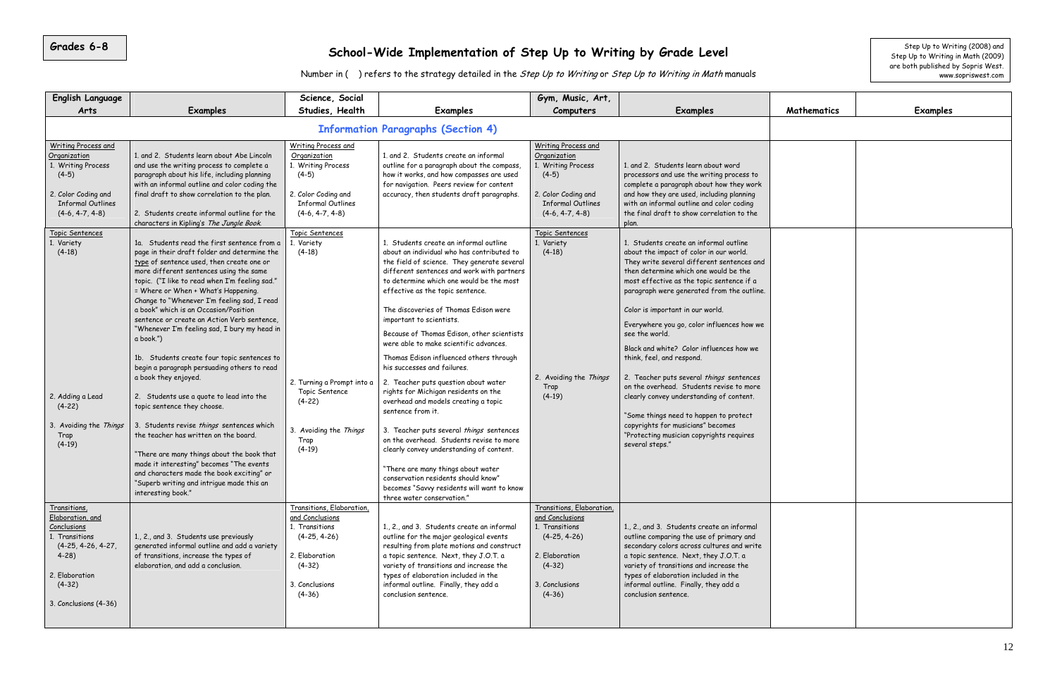| Grades 6-8                                                                                                                                                                                      |                                                                                                                                                                                                                                                                                                                                                                                                                                                                                                                                                                                                                                                                                                                                                                                            |                                                                                                                                                                                                  | School-Wide Implementation of Step Up to Writing by Grade Level                                                                                                                                                                                                                                                                                                                                                                                                                                                                                                                                                                                                                                                                                               |                                                                                                                                                                                                  |                                                                                                                                                                                                                                                                                                                                                                                                                                                                                                                                                        |             | Step Up to Writing (2008) and<br>Step Up to Writing in Math (2009) |  |  |  |  |
|-------------------------------------------------------------------------------------------------------------------------------------------------------------------------------------------------|--------------------------------------------------------------------------------------------------------------------------------------------------------------------------------------------------------------------------------------------------------------------------------------------------------------------------------------------------------------------------------------------------------------------------------------------------------------------------------------------------------------------------------------------------------------------------------------------------------------------------------------------------------------------------------------------------------------------------------------------------------------------------------------------|--------------------------------------------------------------------------------------------------------------------------------------------------------------------------------------------------|---------------------------------------------------------------------------------------------------------------------------------------------------------------------------------------------------------------------------------------------------------------------------------------------------------------------------------------------------------------------------------------------------------------------------------------------------------------------------------------------------------------------------------------------------------------------------------------------------------------------------------------------------------------------------------------------------------------------------------------------------------------|--------------------------------------------------------------------------------------------------------------------------------------------------------------------------------------------------|--------------------------------------------------------------------------------------------------------------------------------------------------------------------------------------------------------------------------------------------------------------------------------------------------------------------------------------------------------------------------------------------------------------------------------------------------------------------------------------------------------------------------------------------------------|-------------|--------------------------------------------------------------------|--|--|--|--|
|                                                                                                                                                                                                 |                                                                                                                                                                                                                                                                                                                                                                                                                                                                                                                                                                                                                                                                                                                                                                                            |                                                                                                                                                                                                  | Number in () refers to the strategy detailed in the Step Up to Writing or Step Up to Writing in Math manuals                                                                                                                                                                                                                                                                                                                                                                                                                                                                                                                                                                                                                                                  |                                                                                                                                                                                                  |                                                                                                                                                                                                                                                                                                                                                                                                                                                                                                                                                        |             | are both published by Sopris West.<br>www.sopriswest.com           |  |  |  |  |
| <b>English Language</b><br>Arts                                                                                                                                                                 | <b>Examples</b>                                                                                                                                                                                                                                                                                                                                                                                                                                                                                                                                                                                                                                                                                                                                                                            | Science, Social<br>Studies, Health                                                                                                                                                               | <b>Examples</b>                                                                                                                                                                                                                                                                                                                                                                                                                                                                                                                                                                                                                                                                                                                                               | Gym, Music, Art,<br>Computers                                                                                                                                                                    | Examples                                                                                                                                                                                                                                                                                                                                                                                                                                                                                                                                               | Mathematics | <b>Examples</b>                                                    |  |  |  |  |
| <b>Information Paragraphs (Section 4)</b>                                                                                                                                                       |                                                                                                                                                                                                                                                                                                                                                                                                                                                                                                                                                                                                                                                                                                                                                                                            |                                                                                                                                                                                                  |                                                                                                                                                                                                                                                                                                                                                                                                                                                                                                                                                                                                                                                                                                                                                               |                                                                                                                                                                                                  |                                                                                                                                                                                                                                                                                                                                                                                                                                                                                                                                                        |             |                                                                    |  |  |  |  |
| <b>Writing Process and</b><br>Organization<br>1. Writing Process<br>$(4-5)$<br>2. Color Coding and<br><b>Informal Outlines</b><br>$(4-6, 4-7, 4-8)$<br>Topic Sentences<br>. Variety<br>$(4-18)$ | 1. and 2. Students learn about Abe Lincoln<br>and use the writing process to complete a<br>paragraph about his life, including planning<br>with an informal outline and color coding the<br>final draft to show correlation to the plan.<br>2. Students create informal outline for the<br>characters in Kipling's The Jungle Book.<br>1a. Students read the first sentence from a<br>page in their draft folder and determine the<br>type of sentence used, then create one or<br>more different sentences using the same                                                                                                                                                                                                                                                                 | <b>Writing Process and</b><br>Organization<br>1. Writing Process<br>$(4-5)$<br>2. Color Coding and<br><b>Informal Outlines</b><br>$(4-6, 4-7, 4-8)$<br>Topic Sentences<br>1. Variety<br>$(4-18)$ | 1. and 2. Students create an informal<br>outline for a paragraph about the compass,<br>how it works, and how compasses are used<br>for navigation. Peers review for content<br>accuracy, then students draft paragraphs.<br>1. Students create an informal outline<br>about an individual who has contributed to<br>the field of science. They generate several<br>different sentences and work with partners                                                                                                                                                                                                                                                                                                                                                 | <b>Writing Process and</b><br>Organization<br>1. Writing Process<br>$(4-5)$<br>2. Color Coding and<br><b>Informal Outlines</b><br>$(4-6, 4-7, 4-8)$<br>Topic Sentences<br>1. Variety<br>$(4-18)$ | 1. and 2. Students learn about word<br>processors and use the writing process to<br>complete a paragraph about how they work<br>and how they are used, including planning<br>with an informal outline and color coding<br>the final draft to show correlation to the<br>plan.<br>1. Students create an informal outline<br>about the impact of color in our world.<br>They write several different sentences and<br>then determine which one would be the                                                                                              |             |                                                                    |  |  |  |  |
| 2. Adding a Lead<br>$(4-22)$<br>Avoiding the Things<br>Trap<br>$(4-19)$                                                                                                                         | topic. ("I like to read when I'm feeling sad."<br>= Where or When + What's Happening.<br>Change to "Whenever I'm feeling sad, I read<br>a book" which is an Occasion/Position<br>sentence or create an Action Verb sentence,<br>"Whenever I'm feeling sad, I bury my head in<br>a book.")<br>1b. Students create four topic sentences to<br>begin a paragraph persuading others to read<br>a book they enjoyed.<br>2. Students use a quote to lead into the<br>topic sentence they choose.<br>3. Students revise things sentences which<br>the teacher has written on the board.<br>"There are many things about the book that<br>made it interesting" becomes "The events<br>and characters made the book exciting" or<br>"Superb writing and intrigue made this an<br>interesting book." | 2. Turning a Prompt into a<br>Topic Sentence<br>$(4-22)$<br>3. Avoiding the Things<br>Trap<br>$(4-19)$                                                                                           | to determine which one would be the most<br>effective as the topic sentence.<br>The discoveries of Thomas Edison were<br>important to scientists.<br>Because of Thomas Edison, other scientists<br>were able to make scientific advances.<br>Thomas Edison influenced others through<br>his successes and failures.<br>2. Teacher puts question about water<br>rights for Michigan residents on the<br>overhead and models creating a topic<br>sentence from it.<br>3. Teacher puts several things sentences<br>on the overhead. Students revise to more<br>clearly convey understanding of content.<br>"There are many things about water<br>conservation residents should know"<br>becomes "Savvy residents will want to know<br>three water conservation." | 2. Avoiding the Things<br>Trap<br>$(4-19)$                                                                                                                                                       | most effective as the topic sentence if a<br>paragraph were generated from the outline.<br>Color is important in our world.<br>Everywhere you go, color influences how we<br>see the world.<br>Black and white? Color influences how we<br>think, feel, and respond.<br>2. Teacher puts several things sentences<br>on the overhead. Students revise to more<br>clearly convey understanding of content.<br>"Some things need to happen to protect<br>copyrights for musicians" becomes<br>"Protecting musician copyrights requires<br>several steps." |             |                                                                    |  |  |  |  |
| Transitions,<br>Elaboration, and<br>Conclusions<br>1. Transitions<br>$(4-25, 4-26, 4-27,$<br>$4 - 28$<br>2. Elaboration<br>$(4-32)$<br>3. Conclusions (4-36)                                    | 1., 2., and 3. Students use previously<br>generated informal outline and add a variety<br>of transitions, increase the types of<br>elaboration, and add a conclusion.                                                                                                                                                                                                                                                                                                                                                                                                                                                                                                                                                                                                                      | Transitions, Elaboration,<br>and Conclusions<br>1. Transitions<br>$(4-25, 4-26)$<br>2. Elaboration<br>$(4-32)$<br>3. Conclusions<br>$(4-36)$                                                     | 1., 2., and 3. Students create an informal<br>outline for the major geological events<br>resulting from plate motions and construct<br>a topic sentence. Next, they J.O.T. a<br>variety of transitions and increase the<br>types of elaboration included in the<br>informal outline. Finally, they add a<br>conclusion sentence.                                                                                                                                                                                                                                                                                                                                                                                                                              | Transitions, Elaboration,<br>and Conclusions<br>1. Transitions<br>$(4-25, 4-26)$<br>2. Elaboration<br>$(4-32)$<br>3. Conclusions<br>$(4-36)$                                                     | 1., 2., and 3. Students create an informal<br>outline comparing the use of primary and<br>secondary colors across cultures and write<br>a topic sentence. Next, they J.O.T. a<br>variety of transitions and increase the<br>types of elaboration included in the<br>informal outline. Finally, they add a<br>conclusion sentence.                                                                                                                                                                                                                      |             |                                                                    |  |  |  |  |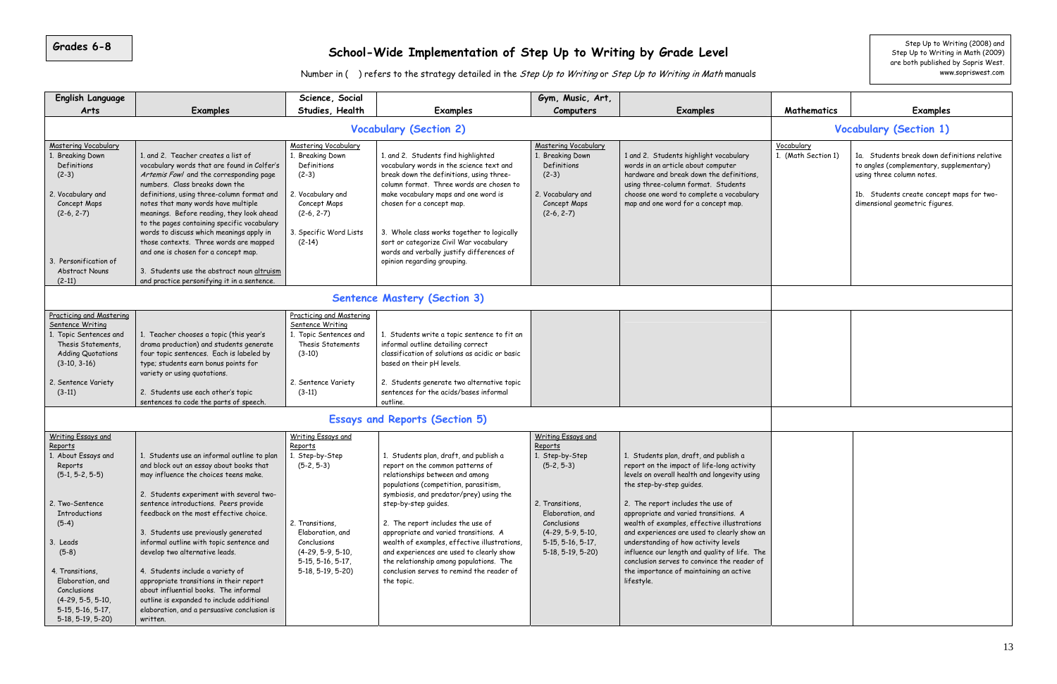| <b>English Language</b>                                                                                                                                                                                                                                                                            |                                                                                                                                                                                                                                                                                                                                                                                                                                                                                                                                                                                                                      | Science, Social                                                                                                                                                                           |                                                                                                                                                                                                                                                                                                                                                                                                                                                                                                           | Gym, Music, Art,                                                                                                                                                                                  |                                                                                                                                                                                                                                                                                                                                                                                                                                                                                                                                               |                                |                                                                                                                                                                                                      |
|----------------------------------------------------------------------------------------------------------------------------------------------------------------------------------------------------------------------------------------------------------------------------------------------------|----------------------------------------------------------------------------------------------------------------------------------------------------------------------------------------------------------------------------------------------------------------------------------------------------------------------------------------------------------------------------------------------------------------------------------------------------------------------------------------------------------------------------------------------------------------------------------------------------------------------|-------------------------------------------------------------------------------------------------------------------------------------------------------------------------------------------|-----------------------------------------------------------------------------------------------------------------------------------------------------------------------------------------------------------------------------------------------------------------------------------------------------------------------------------------------------------------------------------------------------------------------------------------------------------------------------------------------------------|---------------------------------------------------------------------------------------------------------------------------------------------------------------------------------------------------|-----------------------------------------------------------------------------------------------------------------------------------------------------------------------------------------------------------------------------------------------------------------------------------------------------------------------------------------------------------------------------------------------------------------------------------------------------------------------------------------------------------------------------------------------|--------------------------------|------------------------------------------------------------------------------------------------------------------------------------------------------------------------------------------------------|
| Arts                                                                                                                                                                                                                                                                                               | <b>Examples</b>                                                                                                                                                                                                                                                                                                                                                                                                                                                                                                                                                                                                      | Studies, Health                                                                                                                                                                           | <b>Examples</b>                                                                                                                                                                                                                                                                                                                                                                                                                                                                                           | Computers                                                                                                                                                                                         | <b>Examples</b>                                                                                                                                                                                                                                                                                                                                                                                                                                                                                                                               | Mathematics                    | <b>Examples</b>                                                                                                                                                                                      |
|                                                                                                                                                                                                                                                                                                    |                                                                                                                                                                                                                                                                                                                                                                                                                                                                                                                                                                                                                      |                                                                                                                                                                                           | <b>Vocabulary (Section 2)</b>                                                                                                                                                                                                                                                                                                                                                                                                                                                                             |                                                                                                                                                                                                   |                                                                                                                                                                                                                                                                                                                                                                                                                                                                                                                                               |                                | <b>Vocabulary (Section 1)</b>                                                                                                                                                                        |
| <b>Mastering Vocabulary</b><br><b>Breaking Down</b><br>Definitions<br>$(2-3)$<br>2. Vocabulary and<br>Concept Maps<br>$(2-6, 2-7)$<br>Personification of<br><b>Abstract Nouns</b><br>$(2-11)$                                                                                                      | 1. and 2. Teacher creates a list of<br>vocabulary words that are found in Colfer's<br>Artemis Fowl and the corresponding page<br>numbers. Class breaks down the<br>definitions, using three-column format and<br>notes that many words have multiple<br>meanings. Before reading, they look ahead<br>to the pages containing specific vocabulary<br>words to discuss which meanings apply in<br>those contexts. Three words are mapped<br>and one is chosen for a concept map.<br>3. Students use the abstract noun altruism<br>and practice personifying it in a sentence.                                          | <b>Mastering Vocabulary</b><br>. Breaking Down<br>Definitions<br>$(2-3)$<br>2. Vocabulary and<br>Concept Maps<br>$(2-6, 2-7)$<br>3. Specific Word Lists<br>$(2-14)$                       | 1. and 2. Students find highlighted<br>vocabulary words in the science text and<br>break down the definitions, using three-<br>column format. Three words are chosen to<br>make vocabulary maps and one word is<br>chosen for a concept map.<br>3. Whole class works together to logically<br>sort or categorize Civil War vocabulary<br>words and verbally justify differences of<br>opinion regarding grouping.                                                                                         | <b>Mastering Vocabulary</b><br>1. Breaking Down<br>Definitions<br>$(2-3)$<br>2. Vocabulary and<br>Concept Maps<br>$(2-6, 2-7)$                                                                    | 1 and 2. Students highlight vocabulary<br>words in an article about computer<br>hardware and break down the definitions,<br>using three-column format. Students<br>choose one word to complete a vocabulary<br>map and one word for a concept map.                                                                                                                                                                                                                                                                                            | Vocabulary<br>(Math Section 1) | 1a. Students break down definitions relative<br>to angles (complementary, supplementary)<br>using three column notes.<br>1b. Students create concept maps for two-<br>dimensional geometric figures. |
|                                                                                                                                                                                                                                                                                                    |                                                                                                                                                                                                                                                                                                                                                                                                                                                                                                                                                                                                                      |                                                                                                                                                                                           | <b>Sentence Mastery (Section 3)</b>                                                                                                                                                                                                                                                                                                                                                                                                                                                                       |                                                                                                                                                                                                   |                                                                                                                                                                                                                                                                                                                                                                                                                                                                                                                                               |                                |                                                                                                                                                                                                      |
| <b>Practicing and Mastering</b><br>Sentence Writing<br>1. Topic Sentences and<br>Thesis Statements,<br><b>Adding Quotations</b><br>$(3-10, 3-16)$<br>2. Sentence Variety<br>$(3-11)$                                                                                                               | 1. Teacher chooses a topic (this year's<br>drama production) and students generate<br>four topic sentences. Each is labeled by<br>type; students earn bonus points for<br>variety or using quotations.<br>2. Students use each other's topic<br>sentences to code the parts of speech.                                                                                                                                                                                                                                                                                                                               | <b>Practicing and Mastering</b><br>Sentence Writing<br>1. Topic Sentences and<br>Thesis Statements<br>$(3-10)$<br>2. Sentence Variety<br>$(3-11)$                                         | 1. Students write a topic sentence to fit an<br>informal outline detailing correct<br>classification of solutions as acidic or basic<br>based on their pH levels.<br>2. Students generate two alternative topic<br>sentences for the acids/bases informal<br>outline.                                                                                                                                                                                                                                     |                                                                                                                                                                                                   |                                                                                                                                                                                                                                                                                                                                                                                                                                                                                                                                               |                                |                                                                                                                                                                                                      |
|                                                                                                                                                                                                                                                                                                    |                                                                                                                                                                                                                                                                                                                                                                                                                                                                                                                                                                                                                      |                                                                                                                                                                                           | <b>Essays and Reports (Section 5)</b>                                                                                                                                                                                                                                                                                                                                                                                                                                                                     |                                                                                                                                                                                                   |                                                                                                                                                                                                                                                                                                                                                                                                                                                                                                                                               |                                |                                                                                                                                                                                                      |
| <b>Writing Essays and</b><br>Reports<br>1. About Essays and<br>Reports<br>$(5-1, 5-2, 5-5)$<br>2. Two-Sentence<br><b>Introductions</b><br>$(5-4)$<br>3. Leads<br>$(5-8)$<br>4. Transitions,<br>Elaboration, and<br>Conclusions<br>$(4-29, 5-5, 5-10,$<br>$5-15, 5-16, 5-17,$<br>$5-18, 5-19, 5-20$ | 1. Students use an informal outline to plan<br>and block out an essay about books that<br>may influence the choices teens make.<br>2. Students experiment with several two-<br>sentence introductions. Peers provide<br>feedback on the most effective choice.<br>3. Students use previously generated<br>informal outline with topic sentence and<br>develop two alternative leads.<br>4. Students include a variety of<br>appropriate transitions in their report<br>about influential books. The informal<br>outline is expanded to include additional<br>elaboration, and a persuasive conclusion is<br>written. | Writing Essays and<br>Reports<br>1. Step-by-Step<br>$(5-2, 5-3)$<br>2. Transitions,<br>Elaboration, and<br>Conclusions<br>$(4-29, 5-9, 5-10,$<br>$5-15, 5-16, 5-17,$<br>5-18, 5-19, 5-20) | 1. Students plan, draft, and publish a<br>report on the common patterns of<br>relationships between and among<br>populations (competition, parasitism,<br>symbiosis, and predator/prey) using the<br>step-by-step guides.<br>2. The report includes the use of<br>appropriate and varied transitions. A<br>wealth of examples, effective illustrations,<br>and experiences are used to clearly show<br>the relationship among populations. The<br>conclusion serves to remind the reader of<br>the topic. | <b>Writing Essays and</b><br>Reports<br>1. Step-by-Step<br>$(5-2, 5-3)$<br>2. Transitions,<br>Elaboration, and<br>Conclusions<br>$(4-29, 5-9, 5-10,$<br>$5-15, 5-16, 5-17,$<br>$5-18, 5-19, 5-20$ | 1. Students plan, draft, and publish a<br>report on the impact of life-long activity<br>levels on overall health and longevity using<br>the step-by-step quides.<br>2. The report includes the use of<br>appropriate and varied transitions. A<br>wealth of examples, effective illustrations<br>and experiences are used to clearly show an<br>understanding of how activity levels<br>influence our length and quality of life. The<br>conclusion serves to convince the reader of<br>the importance of maintaining an active<br>lifestyle. |                                |                                                                                                                                                                                                      |

**Grades 6-8**

# School-Wide Implementation of Step Up to Writing by Grade Level step Up to Writing (2008) and Step Up to Writing in Math (2009)

Number in ( ) refers to the strategy detailed in the Step Up to Writing or Step Up to Writing in Math manuals

are both published by Sopris West. www.sopriswest.com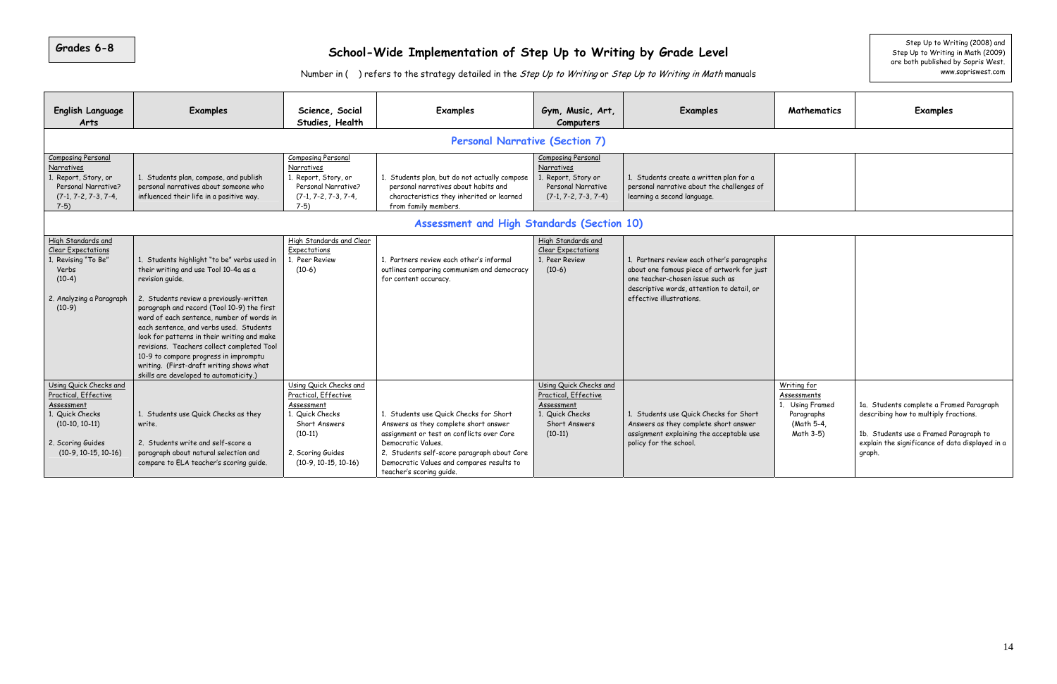| <b>English Language</b><br>Arts                                                                                                                    | <b>Examples</b>                                                                                                                                                                                                                                                                                                                                                                                                                                                                                                      | Science, Social<br>Studies, Health                                                                                                                           | <b>Examples</b>                                                                                                                                                                                                                                                            | Gym, Music, Art,<br>Computers                                                                                        | <b>Examples</b>                                                                                                                                                                                        |
|----------------------------------------------------------------------------------------------------------------------------------------------------|----------------------------------------------------------------------------------------------------------------------------------------------------------------------------------------------------------------------------------------------------------------------------------------------------------------------------------------------------------------------------------------------------------------------------------------------------------------------------------------------------------------------|--------------------------------------------------------------------------------------------------------------------------------------------------------------|----------------------------------------------------------------------------------------------------------------------------------------------------------------------------------------------------------------------------------------------------------------------------|----------------------------------------------------------------------------------------------------------------------|--------------------------------------------------------------------------------------------------------------------------------------------------------------------------------------------------------|
|                                                                                                                                                    |                                                                                                                                                                                                                                                                                                                                                                                                                                                                                                                      |                                                                                                                                                              | <b>Personal Narrative (Section 7)</b>                                                                                                                                                                                                                                      |                                                                                                                      |                                                                                                                                                                                                        |
| <b>Composing Personal</b><br>Narratives<br>1. Report, Story, or<br>Personal Narrative?<br>$(7-1, 7-2, 7-3, 7-4,$<br>$7-5)$                         | Composing Personal<br>Narratives<br>1. Students plan, but do not actually compose<br>1. Students plan, compose, and publish<br>1. Report, Story, or<br>personal narratives about someone who<br>Personal Narrative?<br>personal narratives about habits and<br>influenced their life in a positive way.<br>characteristics they inherited or learned<br>$(7-1, 7-2, 7-3, 7-4,$<br>$7-5)$<br>from family members.                                                                                                     |                                                                                                                                                              | Composing Personal<br>Narratives<br>1. Report, Story or<br>Personal Narrative<br>$(7-1, 7-2, 7-3, 7-4)$                                                                                                                                                                    | 1. Students create a written plan for a<br>personal narrative about the challenges of<br>learning a second language. |                                                                                                                                                                                                        |
|                                                                                                                                                    |                                                                                                                                                                                                                                                                                                                                                                                                                                                                                                                      |                                                                                                                                                              | Assessment and High Standards (Section 10)                                                                                                                                                                                                                                 |                                                                                                                      |                                                                                                                                                                                                        |
| High Standards and<br><b>Clear Expectations</b><br>1. Revising "To Be"<br>Verbs<br>$(10-4)$<br>2. Analyzing a Paragraph<br>$(10-9)$                | 1. Students highlight "to be" verbs used in<br>their writing and use Tool 10-4a as a<br>revision quide.<br>2. Students review a previously-written<br>paragraph and record (Tool 10-9) the first<br>word of each sentence, number of words in<br>each sentence, and verbs used. Students<br>look for patterns in their writing and make<br>revisions. Teachers collect completed Tool<br>10-9 to compare progress in impromptu<br>writing. (First-draft writing shows what<br>skills are developed to automaticity.) | High Standards and Clear<br>Expectations<br>1. Peer Review<br>$(10-6)$                                                                                       | 1. Partners review each other's informal<br>outlines comparing communism and democracy<br>for content accuracy.                                                                                                                                                            | High Standards and<br><b>Clear Expectations</b><br>1. Peer Review<br>$(10-6)$                                        | 1. Partners review each other's paragraphs<br>about one famous piece of artwork for just<br>one teacher-chosen issue such as<br>descriptive words, attention to detail, or<br>effective illustrations. |
| Using Quick Checks and<br>Practical, Effective<br>Assessment<br>1. Quick Checks<br>$(10-10, 10-11)$<br>2. Scoring Guides<br>$(10-9, 10-15, 10-16)$ | 1. Students use Quick Checks as they<br>write.<br>2. Students write and self-score a<br>paragraph about natural selection and<br>compare to ELA teacher's scoring guide.                                                                                                                                                                                                                                                                                                                                             | Using Quick Checks and<br>Practical, Effective<br>Assessment<br>1. Quick Checks<br>Short Answers<br>$(10-11)$<br>2. Scoring Guides<br>$(10-9, 10-15, 10-16)$ | 1. Students use Quick Checks for Short<br>Answers as they complete short answer<br>assignment or test on conflicts over Core<br>Democratic Values.<br>2. Students self-score paragraph about Core<br>Democratic Values and compares results to<br>teacher's scoring quide. | Using Quick Checks and<br>Practical, Effective<br>Assessment<br>1. Quick Checks<br>Short Answers<br>$(10-11)$        | 1. Students use Quick Checks for Short<br>Answers as they complete short answer<br>assignment explaining the acceptable use<br>policy for the school.                                                  |

| de Level<br>i <i>ng in Math</i> manuals                                                                                  |                                                                                               | Step Up to Writing (2008) and<br>Step Up to Writing in Math (2009)<br>are both published by Sopris West.<br>www.sopriswest.com                                                           |
|--------------------------------------------------------------------------------------------------------------------------|-----------------------------------------------------------------------------------------------|------------------------------------------------------------------------------------------------------------------------------------------------------------------------------------------|
| Examples                                                                                                                 | <b>Mathematics</b>                                                                            | <b>Examples</b>                                                                                                                                                                          |
|                                                                                                                          |                                                                                               |                                                                                                                                                                                          |
| ate a written plan for a<br>ve about the challenges of<br>d language.                                                    |                                                                                               |                                                                                                                                                                                          |
|                                                                                                                          |                                                                                               |                                                                                                                                                                                          |
| ew each other's paragraphs<br>s piece of artwork for just<br>sen issue such as<br>ls, attention to detail, or<br>ations. |                                                                                               |                                                                                                                                                                                          |
| Quick Checks for Short<br>complete short answer<br>aining the acceptable use<br>hool.                                    | Writing for<br><u>Assessments</u><br>1. Using Framed<br>Paragraphs<br>(Math 5-4,<br>Math 3-5) | 1a. Students complete a Framed Paragraph<br>describing how to multiply fractions.<br>1b. Students use a Framed Paragraph to<br>explain the significance of data displayed in a<br>graph. |

# School-Wide Implementation of Step Up to Writing by Grade Level step Up to Writing (2008) and Step Up to Writing (2008) and Step Up to Writing in Math (2009)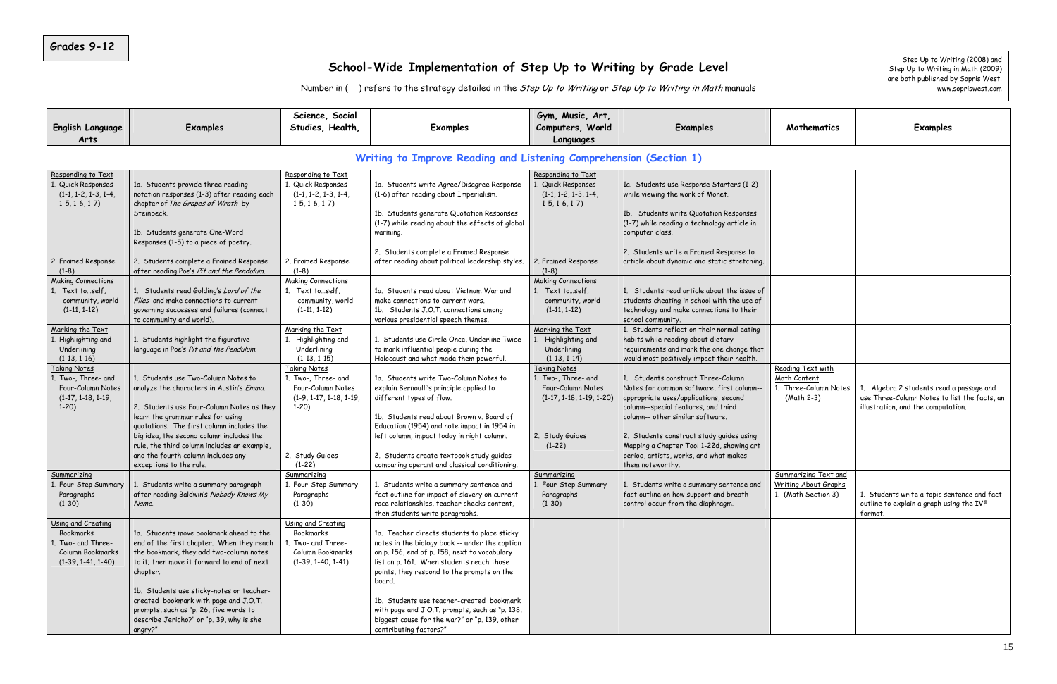### **School-Wide Implementation of Step Up to Writing by Grade Level**

| ide Level<br><i>ting in Math</i> manuals                                                                                 |                                                                                   | Step Up to Writing (2008) and<br>Step Up to Writing in Math (2009)<br>are both published by Sopris West.<br>www.sopriswest.com |
|--------------------------------------------------------------------------------------------------------------------------|-----------------------------------------------------------------------------------|--------------------------------------------------------------------------------------------------------------------------------|
| <b>Examples</b>                                                                                                          | Mathematics                                                                       | <b>Examples</b>                                                                                                                |
| on 1)                                                                                                                    |                                                                                   |                                                                                                                                |
| e Response Starters (1-2)<br>e work of Monet.                                                                            |                                                                                   |                                                                                                                                |
| rite Quotation Responses<br>ng a technology article in                                                                   |                                                                                   |                                                                                                                                |
| te a Framed Response to<br>namic and static stretching.                                                                  |                                                                                   |                                                                                                                                |
| d article about the issue of<br>ig in school with the use of<br>nake connections to their<br>y.                          |                                                                                   |                                                                                                                                |
| ect on their normal eating<br>ding about dietary<br>d mark the one change that<br>ively impact their health.             |                                                                                   |                                                                                                                                |
| istruct Three-Column<br>on software, first column--<br>:/applications, second<br>features, and third<br>imilar software. | Reading Text with<br>Math Content<br>1. Three-Column Notes<br>(Math 2-3)          | 1. Algebra 2 students read a passage and<br>use Three-Column Notes to list the facts, an<br>illustration, and the computation. |
| struct study guides using<br>er Tool 1-22d, showing art<br>vorks, and what makes                                         |                                                                                   |                                                                                                                                |
| te a summary sentence and<br>ow support and breath<br>om the diaphragm.                                                  | <b>Summarizing Text and</b><br><b>Writing About Graphs</b><br>1. (Math Section 3) | 1. Students write a topic sentence and fact<br>outline to explain a graph using the IVF<br>format.                             |
|                                                                                                                          |                                                                                   |                                                                                                                                |

| <b>English Language</b><br>Arts                                                                   | <b>Examples</b>                                                                                                                                                                                                                                                                                                                                                                  | Science, Social<br>Studies, Health,                                                                    | <b>Examples</b>                                                                                                                                                                                                                                                                                                                                                                                                               | Gym, Music, Art,<br>Computers, World<br>Languages                                             | <b>Examples</b>                                                                                                                                                                                     |                     |
|---------------------------------------------------------------------------------------------------|----------------------------------------------------------------------------------------------------------------------------------------------------------------------------------------------------------------------------------------------------------------------------------------------------------------------------------------------------------------------------------|--------------------------------------------------------------------------------------------------------|-------------------------------------------------------------------------------------------------------------------------------------------------------------------------------------------------------------------------------------------------------------------------------------------------------------------------------------------------------------------------------------------------------------------------------|-----------------------------------------------------------------------------------------------|-----------------------------------------------------------------------------------------------------------------------------------------------------------------------------------------------------|---------------------|
|                                                                                                   |                                                                                                                                                                                                                                                                                                                                                                                  |                                                                                                        | Writing to Improve Reading and Listening Comprehension (Section 1)                                                                                                                                                                                                                                                                                                                                                            |                                                                                               |                                                                                                                                                                                                     |                     |
| Responding to Text<br>Quick Responses<br>$(1-1, 1-2, 1-3, 1-4,$<br>$1-5, 1-6, 1-7$                | 1a. Students provide three reading<br>notation responses (1-3) after reading each<br>chapter of The Grapes of Wrath by<br>Steinbeck.<br>1b. Students generate One-Word<br>Responses (1-5) to a piece of poetry.                                                                                                                                                                  | Responding to Text<br>1. Quick Responses<br>$(1-1, 1-2, 1-3, 1-4,$<br>$1-5, 1-6, 1-7)$                 | 1a. Students write Agree/Disagree Response<br>(1-6) after reading about Imperialism.<br>1b. Students generate Quotation Responses<br>(1-7) while reading about the effects of global<br>warming.                                                                                                                                                                                                                              | Responding to Text<br>1. Quick Responses<br>$(1-1, 1-2, 1-3, 1-4,$<br>$1-5, 1-6, 1-7$         | 1a. Students use Response Starters (1-2)<br>while viewing the work of Monet.<br>1b. Students write Quotation Responses<br>(1-7) while reading a technology article in<br>computer class.            |                     |
| 2. Framed Response<br>$(1-8)$                                                                     | 2. Students complete a Framed Response<br>after reading Poe's Pit and the Pendulum.                                                                                                                                                                                                                                                                                              | 2. Framed Response<br>$(1-8)$                                                                          | 2. Students complete a Framed Response<br>after reading about political leadership styles.                                                                                                                                                                                                                                                                                                                                    | 2. Framed Response<br>$(1-8)$                                                                 | 2. Students write a Framed Response to<br>article about dynamic and static stretching.                                                                                                              |                     |
| <b>Making Connections</b><br>1. Text to  self.<br>community, world<br>$(1-11, 1-12)$              | 1. Students read Golding's Lord of the<br>Flies and make connections to current<br>governing successes and failures (connect<br>to community and world).                                                                                                                                                                                                                         | <b>Making Connections</b><br>1. Text to  self.<br>community, world<br>$(1-11, 1-12)$                   | 1a. Students read about Vietnam War and<br>make connections to current wars.<br>1b. Students J.O.T. connections among<br>various presidential speech themes.                                                                                                                                                                                                                                                                  | <b>Making Connections</b><br>1. Text to  self,<br>community, world<br>$(1-11, 1-12)$          | 1. Students read article about the issue of<br>students cheating in school with the use of<br>technology and make connections to their<br>school community.                                         |                     |
| Marking the Text<br>1. Highlighting and<br>Underlining<br>$(1-13, 1-16)$                          | 1. Students highlight the figurative<br>language in Poe's Pit and the Pendulum.                                                                                                                                                                                                                                                                                                  | Marking the Text<br>1. Highlighting and<br>Underlining<br>$(1-13, 1-15)$                               | 1. Students use Circle Once, Underline Twice<br>to mark influential people during the<br>Holocaust and what made them powerful.                                                                                                                                                                                                                                                                                               | Marking the Text<br>1. Highlighting and<br>Underlining<br>$(1-13, 1-14)$                      | 1. Students reflect on their normal eating<br>habits while reading about dietary<br>requirements and mark the one change that<br>would most positively impact their health.                         |                     |
| Taking Notes<br>1. Two-, Three- and<br>Four-Column Notes<br>$(1-17, 1-18, 1-19,$<br>$1-20$        | 1. Students use Two-Column Notes to<br>analyze the characters in Austin's Emma.<br>2. Students use Four-Column Notes as they<br>learn the grammar rules for using<br>quotations. The first column includes the                                                                                                                                                                   | <b>Taking Notes</b><br>1. Two-, Three- and<br>Four-Column Notes<br>$(1-9, 1-17, 1-18, 1-19,$<br>$1-20$ | 1a. Students write Two-Column Notes to<br>explain Bernoulli's principle applied to<br>different types of flow.<br>1b. Students read about Brown v. Board of<br>Education (1954) and note impact in 1954 in                                                                                                                                                                                                                    | <b>Taking Notes</b><br>1. Two-, Three- and<br>Four-Column Notes<br>$(1-17, 1-18, 1-19, 1-20)$ | 1. Students construct Three-Column<br>Notes for common software, first column--<br>appropriate uses/applications, second<br>column--special features, and third<br>column-- other similar software. | $\overline{R}$<br>M |
|                                                                                                   | big idea, the second column includes the<br>rule, the third column includes an example,<br>and the fourth column includes any<br>exceptions to the rule.                                                                                                                                                                                                                         | 2. Study Guides<br>$(1-22)$                                                                            | left column, impact today in right column.<br>2. Students create textbook study guides<br>comparing operant and classical conditioning.                                                                                                                                                                                                                                                                                       | 2. Study Guides<br>$(1-22)$                                                                   | 2. Students construct study guides using<br>Mapping a Chapter Tool 1-22d, showing art<br>period, artists, works, and what makes<br>them noteworthy.                                                 |                     |
| Summarizing<br>1. Four-Step Summary<br>Paragraphs<br>$(1-30)$                                     | 1. Students write a summary paragraph<br>after reading Baldwin's Nobody Knows My<br>Name.                                                                                                                                                                                                                                                                                        | Summarizing<br>1. Four-Step Summary<br>Paragraphs<br>$(1-30)$                                          | 1. Students write a summary sentence and<br>fact outline for impact of slavery on current<br>race relationships, teacher checks content,<br>then students write paragraphs.                                                                                                                                                                                                                                                   | Summarizing<br>1. Four-Step Summary<br>Paragraphs<br>$(1-30)$                                 | 1. Students write a summary sentence and<br>fact outline on how support and breath<br>control occur from the diaphragm.                                                                             | $\overline{S}$<br>W |
| Using and Creating<br>Bookmarks<br>1. Two- and Three-<br>Column Bookmarks<br>$(1-39, 1-41, 1-40)$ | 1a. Students move bookmark ahead to the<br>end of the first chapter. When they reach<br>the bookmark, they add two-column notes<br>to it; then move it forward to end of next<br>chapter.<br>1b. Students use sticky-notes or teacher-<br>created bookmark with page and J.O.T.<br>prompts, such as "p. 26, five words to<br>describe Jericho?" or "p. 39, why is she<br>angry?" | Using and Creating<br>Bookmarks<br>1. Two- and Three-<br>Column Bookmarks<br>$(1-39, 1-40, 1-41)$      | 1a. Teacher directs students to place sticky<br>notes in the biology book -- under the caption<br>on p. 156, end of p. 158, next to vocabulary<br>list on p. 161. When students reach those<br>points, they respond to the prompts on the<br>board.<br>1b. Students use teacher-created bookmark<br>with page and J.O.T. prompts, such as "p. 138,<br>biggest cause for the war?" or "p. 139, other<br>contributing factors?" |                                                                                               |                                                                                                                                                                                                     |                     |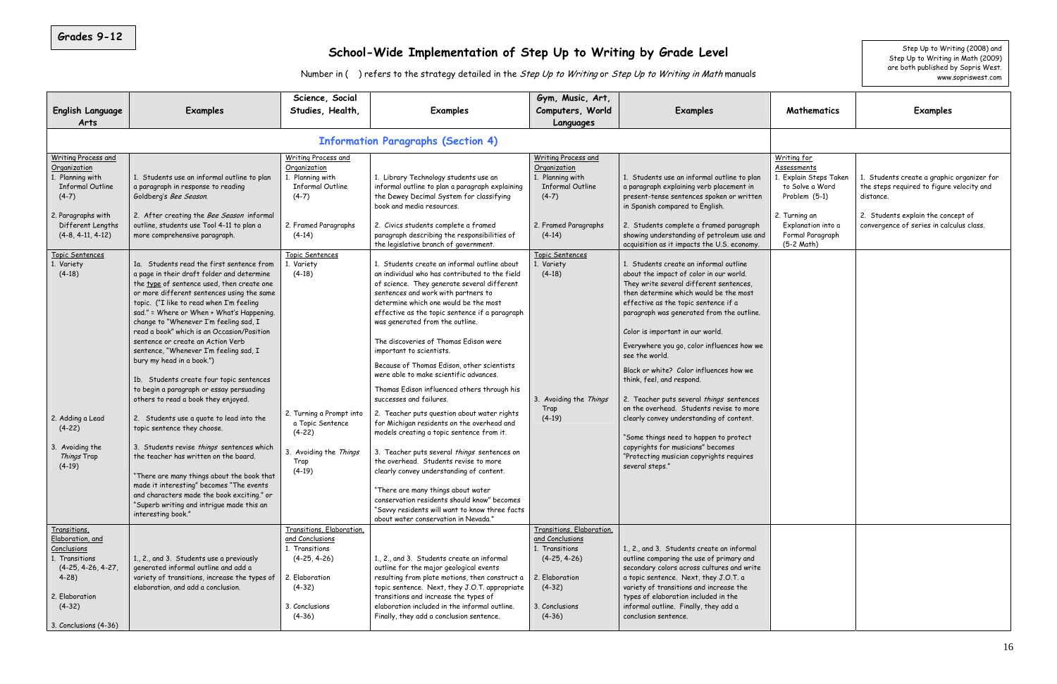| Grades 9-12                                                                                                                                                | School-Wide Implementation of Step Up to Writing by Grade Level<br>Number in () refers to the strategy detailed in the Step Up to Writing or Step Up to Writing in Math manuals                                                                                                                                                                                                                                                                                                                                                                                                                                                                                                                                                                                                                                                                                                                                                                                                             |                                                                                                                                                     |                                                                                                                                                                                                                                                                                                                                                                                                                                                                                                                                                                                                                                                                                                                                                                                                                                                                                                                                                                                |                                                                                                                                              |                                                                                                                                                                                                                                                                                                                                                                                                                                                                                                                                                                                                                                                                                                                           |                                                                                                                                       |                                                                                                                                                                                        |  |  |  |
|------------------------------------------------------------------------------------------------------------------------------------------------------------|---------------------------------------------------------------------------------------------------------------------------------------------------------------------------------------------------------------------------------------------------------------------------------------------------------------------------------------------------------------------------------------------------------------------------------------------------------------------------------------------------------------------------------------------------------------------------------------------------------------------------------------------------------------------------------------------------------------------------------------------------------------------------------------------------------------------------------------------------------------------------------------------------------------------------------------------------------------------------------------------|-----------------------------------------------------------------------------------------------------------------------------------------------------|--------------------------------------------------------------------------------------------------------------------------------------------------------------------------------------------------------------------------------------------------------------------------------------------------------------------------------------------------------------------------------------------------------------------------------------------------------------------------------------------------------------------------------------------------------------------------------------------------------------------------------------------------------------------------------------------------------------------------------------------------------------------------------------------------------------------------------------------------------------------------------------------------------------------------------------------------------------------------------|----------------------------------------------------------------------------------------------------------------------------------------------|---------------------------------------------------------------------------------------------------------------------------------------------------------------------------------------------------------------------------------------------------------------------------------------------------------------------------------------------------------------------------------------------------------------------------------------------------------------------------------------------------------------------------------------------------------------------------------------------------------------------------------------------------------------------------------------------------------------------------|---------------------------------------------------------------------------------------------------------------------------------------|----------------------------------------------------------------------------------------------------------------------------------------------------------------------------------------|--|--|--|
| <b>English Language</b>                                                                                                                                    | Examples                                                                                                                                                                                                                                                                                                                                                                                                                                                                                                                                                                                                                                                                                                                                                                                                                                                                                                                                                                                    | Science, Social<br>Studies, Health,                                                                                                                 | Examples                                                                                                                                                                                                                                                                                                                                                                                                                                                                                                                                                                                                                                                                                                                                                                                                                                                                                                                                                                       | Gym, Music, Art,<br>Computers, World                                                                                                         | <b>Examples</b>                                                                                                                                                                                                                                                                                                                                                                                                                                                                                                                                                                                                                                                                                                           | Mathematics                                                                                                                           | www.sopriswest.com<br>Examples                                                                                                                                                         |  |  |  |
| Arts                                                                                                                                                       |                                                                                                                                                                                                                                                                                                                                                                                                                                                                                                                                                                                                                                                                                                                                                                                                                                                                                                                                                                                             |                                                                                                                                                     |                                                                                                                                                                                                                                                                                                                                                                                                                                                                                                                                                                                                                                                                                                                                                                                                                                                                                                                                                                                | Languages                                                                                                                                    |                                                                                                                                                                                                                                                                                                                                                                                                                                                                                                                                                                                                                                                                                                                           |                                                                                                                                       |                                                                                                                                                                                        |  |  |  |
|                                                                                                                                                            |                                                                                                                                                                                                                                                                                                                                                                                                                                                                                                                                                                                                                                                                                                                                                                                                                                                                                                                                                                                             |                                                                                                                                                     | <b>Information Paragraphs (Section 4)</b>                                                                                                                                                                                                                                                                                                                                                                                                                                                                                                                                                                                                                                                                                                                                                                                                                                                                                                                                      |                                                                                                                                              |                                                                                                                                                                                                                                                                                                                                                                                                                                                                                                                                                                                                                                                                                                                           |                                                                                                                                       |                                                                                                                                                                                        |  |  |  |
| Writing Process and<br>Organization<br>Planning with<br><b>Informal Outline</b><br>$(4-7)$<br>2. Paragraphs with<br>Different Lengths                      | 1. Students use an informal outline to plan<br>a paragraph in response to reading<br>Goldberg's Bee Season.<br>2. After creating the Bee Season informal<br>outline, students use Tool 4-11 to plan a                                                                                                                                                                                                                                                                                                                                                                                                                                                                                                                                                                                                                                                                                                                                                                                       | Writing Process and<br>Organization<br>1. Planning with<br><b>Informal Outline</b><br>$(4-7)$<br>2. Framed Paragraphs                               | 1. Library Technology students use an<br>informal outline to plan a paragraph explaining<br>the Dewey Decimal System for classifying<br>book and media resources.<br>2. Civics students complete a framed                                                                                                                                                                                                                                                                                                                                                                                                                                                                                                                                                                                                                                                                                                                                                                      | Writing Process and<br>Organization<br>1. Planning with<br><b>Informal Outline</b><br>$(4-7)$<br>2. Framed Paragraphs                        | 1. Students use an informal outline to plan<br>a paragraph explaining verb placement in<br>present-tense sentences spoken or written<br>in Spanish compared to English.<br>2. Students complete a framed paragraph                                                                                                                                                                                                                                                                                                                                                                                                                                                                                                        | Writing for<br><b>Assessments</b><br>. Explain Steps Taken<br>to Solve a Word<br>Problem (5-1)<br>2. Turning an<br>Explanation into a | 1. Students create a graphic organizer for<br>the steps required to figure velocity and<br>distance.<br>2. Students explain the concept of<br>convergence of series in calculus class. |  |  |  |
| $(4-8, 4-11, 4-12)$                                                                                                                                        | more comprehensive paragraph.                                                                                                                                                                                                                                                                                                                                                                                                                                                                                                                                                                                                                                                                                                                                                                                                                                                                                                                                                               | $(4-14)$                                                                                                                                            | paragraph describing the responsibilities of<br>the legislative branch of government.                                                                                                                                                                                                                                                                                                                                                                                                                                                                                                                                                                                                                                                                                                                                                                                                                                                                                          | $(4-14)$                                                                                                                                     | showing understanding of petroleum use and<br>acquisition as it impacts the U.S. economy.                                                                                                                                                                                                                                                                                                                                                                                                                                                                                                                                                                                                                                 | Formal Paragraph<br>$(5-2 Math)$                                                                                                      |                                                                                                                                                                                        |  |  |  |
| Topic Sentences<br>1. Variety<br>$(4-18)$<br>2. Adding a Lead<br>$(4-22)$<br>3. Avoiding the<br>Things Trap<br>$(4-19)$                                    | 1a. Students read the first sentence from<br>a page in their draft folder and determine<br>the type of sentence used, then create one<br>or more different sentences using the same<br>topic. ("I like to read when I'm feeling<br>sad." = Where or When + What's Happening.<br>change to "Whenever I'm feeling sad, I<br>read a book" which is an Occasion/Position<br>sentence or create an Action Verb<br>sentence, "Whenever I'm feeling sad, I<br>bury my head in a book.")<br>1b. Students create four topic sentences<br>to begin a paragraph or essay persuading<br>others to read a book they enjoyed.<br>2. Students use a quote to lead into the<br>topic sentence they choose.<br>3. Students revise things sentences which<br>the teacher has written on the board.<br>"There are many things about the book that<br>made it interesting" becomes "The events<br>and characters made the book exciting." or<br>"Superb writing and intrigue made this an<br>interesting book." | Topic Sentences<br>1. Variety<br>$(4-18)$<br>2. Turning a Prompt into<br>a Topic Sentence<br>$(4-22)$<br>3. Avoiding the Things<br>Trap<br>$(4-19)$ | 1. Students create an informal outline about<br>an individual who has contributed to the field<br>of science. They generate several different<br>sentences and work with partners to<br>determine which one would be the most<br>effective as the topic sentence if a paragraph<br>was generated from the outline.<br>The discoveries of Thomas Edison were<br>important to scientists.<br>Because of Thomas Edison, other scientists<br>were able to make scientific advances.<br>Thomas Edison influenced others through his<br>successes and failures.<br>2. Teacher puts question about water rights<br>for Michigan residents on the overhead and<br>models creating a topic sentence from it.<br>3. Teacher puts several things sentences on<br>the overhead. Students revise to more<br>clearly convey understanding of content.<br>"There are many things about water<br>conservation residents should know" becomes<br>"Savvy residents will want to know three facts | Topic Sentences<br>1. Variety<br>$(4-18)$<br>3. Avoiding the Things<br>Trap<br>$(4-19)$                                                      | 1. Students create an informal outline<br>about the impact of color in our world.<br>They write several different sentences,<br>then determine which would be the most<br>effective as the topic sentence if a<br>paragraph was generated from the outline.<br>Color is important in our world.<br>Everywhere you go, color influences how we<br>see the world.<br>Black or white? Color influences how we<br>think, feel, and respond.<br>2. Teacher puts several things sentences<br>on the overhead. Students revise to more<br>clearly convey understanding of content.<br>"Some things need to happen to protect<br>copyrights for musicians" becomes<br>"Protecting musician copyrights requires<br>several steps." |                                                                                                                                       |                                                                                                                                                                                        |  |  |  |
| Transitions,<br>Elaboration, and<br>Conclusions<br>1. Transitions<br>$(4-25, 4-26, 4-27,$<br>$4-28$<br>2. Elaboration<br>$(4-32)$<br>3. Conclusions (4-36) | 1., 2., and 3. Students use a previously<br>generated informal outline and add a<br>variety of transitions, increase the types of<br>elaboration, and add a conclusion.                                                                                                                                                                                                                                                                                                                                                                                                                                                                                                                                                                                                                                                                                                                                                                                                                     | Transitions, Elaboration,<br>and Conclusions<br>1. Transitions<br>$(4-25, 4-26)$<br>2. Elaboration<br>$(4-32)$<br>3. Conclusions<br>$(4-36)$        | about water conservation in Nevada."<br>1., 2., and 3. Students create an informal<br>outline for the major geological events<br>resulting from plate motions, then construct a<br>topic sentence. Next, they J.O.T. appropriate<br>transitions and increase the types of<br>elaboration included in the informal outline.<br>Finally, they add a conclusion sentence.                                                                                                                                                                                                                                                                                                                                                                                                                                                                                                                                                                                                         | Transitions, Elaboration,<br>and Conclusions<br>1. Transitions<br>$(4-25, 4-26)$<br>2. Elaboration<br>$(4-32)$<br>3. Conclusions<br>$(4-36)$ | 1., 2., and 3. Students create an informal<br>outline comparing the use of primary and<br>secondary colors across cultures and write<br>a topic sentence. Next, they J.O.T. a<br>variety of transitions and increase the<br>types of elaboration included in the<br>informal outline. Finally, they add a<br>conclusion sentence.                                                                                                                                                                                                                                                                                                                                                                                         |                                                                                                                                       |                                                                                                                                                                                        |  |  |  |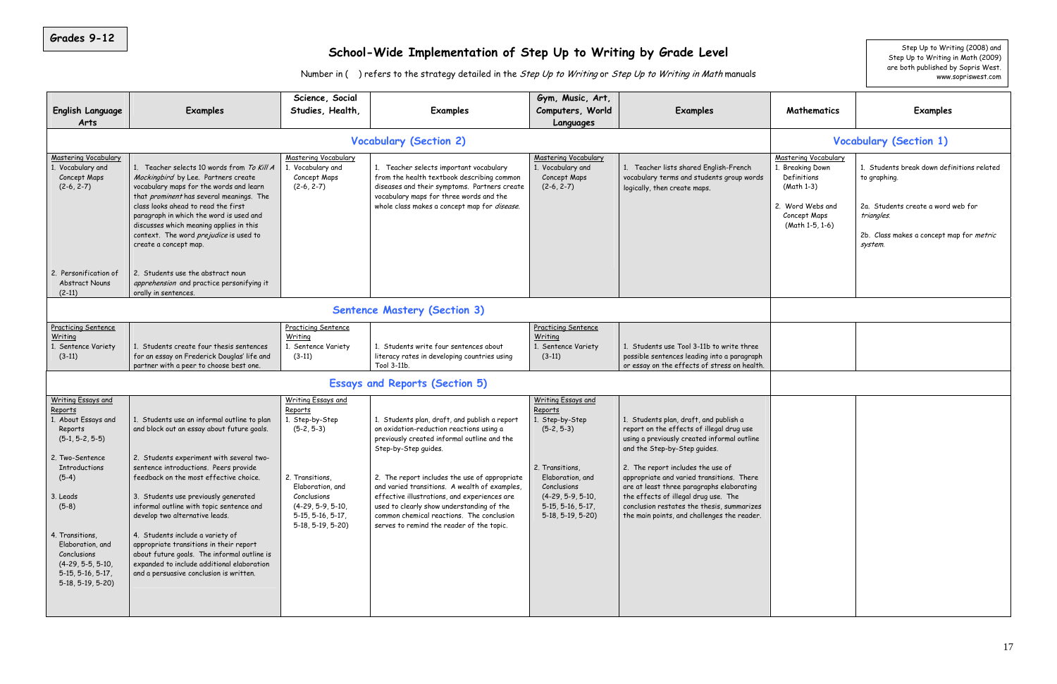<u> The Communication of the Communication of</u>

|                                                                                                                                                                                                                                                                                                                                                                                                                                                                                                                        |                                                                                                                                                                                         |                                                                                                                                                                                                                                                                                                                                                                                                                                                           |                                                                                                                                                                                           |                                                                                                                                                                                                                                                                                                                                                                                                                                        |                                                                                                                                                                                 | Step Up to Writing (2008) and                                                                                                                                         |
|------------------------------------------------------------------------------------------------------------------------------------------------------------------------------------------------------------------------------------------------------------------------------------------------------------------------------------------------------------------------------------------------------------------------------------------------------------------------------------------------------------------------|-----------------------------------------------------------------------------------------------------------------------------------------------------------------------------------------|-----------------------------------------------------------------------------------------------------------------------------------------------------------------------------------------------------------------------------------------------------------------------------------------------------------------------------------------------------------------------------------------------------------------------------------------------------------|-------------------------------------------------------------------------------------------------------------------------------------------------------------------------------------------|----------------------------------------------------------------------------------------------------------------------------------------------------------------------------------------------------------------------------------------------------------------------------------------------------------------------------------------------------------------------------------------------------------------------------------------|---------------------------------------------------------------------------------------------------------------------------------------------------------------------------------|-----------------------------------------------------------------------------------------------------------------------------------------------------------------------|
|                                                                                                                                                                                                                                                                                                                                                                                                                                                                                                                        |                                                                                                                                                                                         |                                                                                                                                                                                                                                                                                                                                                                                                                                                           | Step Up to Writing in Math (2009)<br>are both published by Sopris West.<br>www.sopriswest.com                                                                                             |                                                                                                                                                                                                                                                                                                                                                                                                                                        |                                                                                                                                                                                 |                                                                                                                                                                       |
| Examples                                                                                                                                                                                                                                                                                                                                                                                                                                                                                                               | Science, Social<br>Studies, Health,                                                                                                                                                     | <b>Examples</b>                                                                                                                                                                                                                                                                                                                                                                                                                                           | Gym, Music, Art,<br>Computers, World<br>Languages                                                                                                                                         | <b>Examples</b>                                                                                                                                                                                                                                                                                                                                                                                                                        | Mathematics                                                                                                                                                                     | Examples                                                                                                                                                              |
|                                                                                                                                                                                                                                                                                                                                                                                                                                                                                                                        |                                                                                                                                                                                         | <b>Vocabulary (Section 1)</b>                                                                                                                                                                                                                                                                                                                                                                                                                             |                                                                                                                                                                                           |                                                                                                                                                                                                                                                                                                                                                                                                                                        |                                                                                                                                                                                 |                                                                                                                                                                       |
| 1. Teacher selects 10 words from To Kill A<br>Mockingbird by Lee. Partners create<br>vocabulary maps for the words and learn<br>that prominent has several meanings. The<br>class looks ahead to read the first<br>paragraph in which the word is used and<br>discusses which meaning applies in this<br>context. The word prejudice is used to<br>create a concept map.                                                                                                                                               | <b>Mastering Vocabulary</b><br>1. Vocabulary and<br>Concept Maps<br>$(2-6, 2-7)$                                                                                                        | 1. Teacher selects important vocabulary<br>from the health textbook describing common<br>diseases and their symptoms. Partners create<br>vocabulary maps for three words and the<br>whole class makes a concept map for disease.                                                                                                                                                                                                                          | <b>Mastering Vocabulary</b><br>1. Vocabulary and<br>Concept Maps<br>$(2-6, 2-7)$                                                                                                          | 1. Teacher lists shared English-French<br>vocabulary terms and students group words<br>logically, then create maps.                                                                                                                                                                                                                                                                                                                    | Mastering Vocabulary<br>1. Breaking Down<br>Definitions<br>(Math 1-3)<br>2. Word Webs and<br>Concept Maps<br>(Math 1-5, 1-6)                                                    | 1. Students break down definitions related<br>to graphing.<br>2a. Students create a word web for<br>triangles.<br>2b. Class makes a concept map for metric<br>system. |
| 2. Students use the abstract noun<br>apprehension and practice personifying it<br>orally in sentences.                                                                                                                                                                                                                                                                                                                                                                                                                 |                                                                                                                                                                                         |                                                                                                                                                                                                                                                                                                                                                                                                                                                           |                                                                                                                                                                                           |                                                                                                                                                                                                                                                                                                                                                                                                                                        |                                                                                                                                                                                 |                                                                                                                                                                       |
|                                                                                                                                                                                                                                                                                                                                                                                                                                                                                                                        |                                                                                                                                                                                         |                                                                                                                                                                                                                                                                                                                                                                                                                                                           |                                                                                                                                                                                           |                                                                                                                                                                                                                                                                                                                                                                                                                                        |                                                                                                                                                                                 |                                                                                                                                                                       |
| 1. Students create four thesis sentences<br>for an essay on Frederick Douglas' life and<br>partner with a peer to choose best one.                                                                                                                                                                                                                                                                                                                                                                                     | <b>Practicing Sentence</b><br>Writing<br>1. Sentence Variety<br>$(3-11)$                                                                                                                | 1. Students write four sentences about<br>literacy rates in developing countries using<br>Tool 3-11b.                                                                                                                                                                                                                                                                                                                                                     | <b>Practicing Sentence</b><br>Writing<br>1. Sentence Variety<br>$(3-11)$                                                                                                                  | 1. Students use Tool 3-11b to write three<br>possible sentences leading into a paragraph<br>or essay on the effects of stress on health.                                                                                                                                                                                                                                                                                               |                                                                                                                                                                                 |                                                                                                                                                                       |
|                                                                                                                                                                                                                                                                                                                                                                                                                                                                                                                        |                                                                                                                                                                                         |                                                                                                                                                                                                                                                                                                                                                                                                                                                           |                                                                                                                                                                                           |                                                                                                                                                                                                                                                                                                                                                                                                                                        |                                                                                                                                                                                 |                                                                                                                                                                       |
| and block out an essay about future goals.<br>2. Students experiment with several two-<br>sentence introductions. Peers provide<br>feedback on the most effective choice.<br>3. Students use previously generated<br>informal outline with topic sentence and<br>develop two alternative leads.<br>4. Students include a variety of<br>appropriate transitions in their report<br>about future goals. The informal outline is<br>expanded to include additional elaboration<br>and a persuasive conclusion is written. | Writing Essays and<br>Reports<br>1. Step-by-Step<br>$(5-2, 5-3)$<br>2. Transitions,<br>Elaboration, and<br>Conclusions<br>$(4-29, 5-9, 5-10,$<br>5-15, 5-16, 5-17,<br>5-18, 5-19, 5-20) | 1. Students plan, draft, and publish a report<br>on oxidation-reduction reactions using a<br>previously created informal outline and the<br>Step-by-Step guides.<br>2. The report includes the use of appropriate<br>and varied transitions. A wealth of examples,<br>effective illustrations, and experiences are<br>used to clearly show understanding of the<br>common chemical reactions. The conclusion<br>serves to remind the reader of the topic. | Writing Essays and<br>Reports<br>1. Step-by-Step<br>$(5-2, 5-3)$<br>2. Transitions,<br>Elaboration, and<br>Conclusions<br>$(4-29, 5-9, 5-10,$<br>$5-15, 5-16, 5-17,$<br>5-18, 5-19, 5-20) | 1. Students plan, draft, and publish a<br>report on the effects of illegal drug use<br>using a previously created informal outline<br>and the Step-by-Step guides.<br>2. The report includes the use of<br>appropriate and varied transitions. There<br>are at least three paragraphs elaborating<br>the effects of illegal drug use. The<br>conclusion restates the thesis, summarizes<br>the main points, and challenges the reader. |                                                                                                                                                                                 |                                                                                                                                                                       |
|                                                                                                                                                                                                                                                                                                                                                                                                                                                                                                                        | 1. Students use an informal outline to plan                                                                                                                                             |                                                                                                                                                                                                                                                                                                                                                                                                                                                           | <b>Vocabulary (Section 2)</b><br><b>Sentence Mastery (Section 3)</b><br><b>Essays and Reports (Section 5)</b>                                                                             |                                                                                                                                                                                                                                                                                                                                                                                                                                        | School-Wide Implementation of Step Up to Writing by Grade Level<br>Number in () refers to the strategy detailed in the Step Up to Writing or Step Up to Writing in Math manuals |                                                                                                                                                                       |